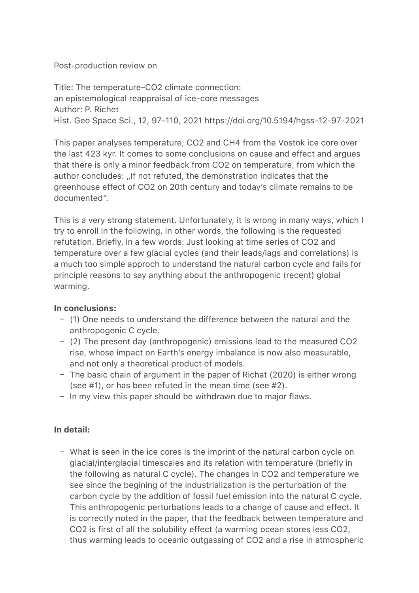## Post-production review on

Title: The temperature–CO2 climate connection: an epistemological reappraisal of ice-core messages Author: P. Richet Hist. Geo Space Sci., 12, 97–110, 2021 https://doi.org/10.5194/hgss-12-97-2021

This paper analyses temperature, CO2 and CH4 from the Vostok ice core over the last 423 kyr. It comes to some conclusions on cause and effect and argues that there is only a minor feedback from CO2 on temperature, from which the author concludes: "If not refuted, the demonstration indicates that the greenhouse effect of CO2 on 20th century and today's climate remains to be documented".

This is a very strong statement. Unfortunately, it is wrong in many ways, which I try to enroll in the following. In other words, the following is the requested refutation. Briefly, in a few words: Just looking at time series of CO2 and temperature over a few glacial cycles (and their leads/lags and correlations) is a much too simple approch to understand the natural carbon cycle and fails for principle reasons to say anything about the anthropogenic (recent) global warming.

# **In conclusions:**

- (1) One needs to understand the difference between the natural and the anthropogenic C cycle.
- (2) The present day (anthropogenic) emissions lead to the measured CO2 rise, whose impact on Earth's energy imbalance is now also measurable, and not only a theoretical product of models.
- The basic chain of argument in the paper of Richat (2020) is either wrong (see #1), or has been refuted in the mean time (see #2).
- In my view this paper should be withdrawn due to major flaws.

# **In detail:**

– What is seen in the ice cores is the imprint of the natural carbon cycle on glacial/interglacial timescales and its relation with temperature (briefly in the following as natural C cycle). The changes in CO2 and temperature we see since the begining of the industrialization is the perturbation of the carbon cycle by the addition of fossil fuel emission into the natural C cycle. This anthropogenic perturbations leads to a change of cause and effect. It is correctly noted in the paper, that the feedback between temperature and CO2 is first of all the solubility effect (a warming ocean stores less CO2, thus warming leads to oceanic outgassing of CO2 and a rise in atmospheric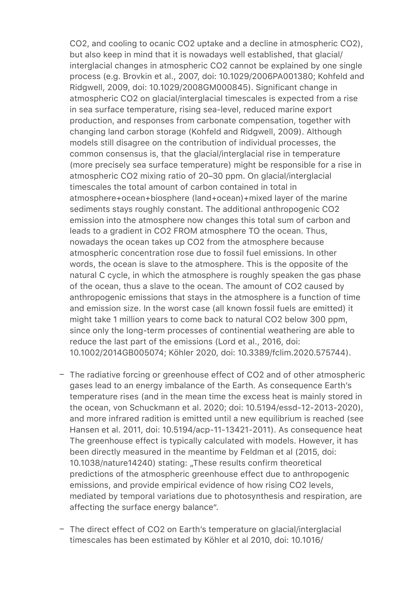CO2, and cooling to ocanic CO2 uptake and a decline in atmospheric CO2), but also keep in mind that it is nowadays well established, that glacial/ interglacial changes in atmospheric CO2 cannot be explained by one single process (e.g. Brovkin et al., 2007, doi: 10.1029/2006PA001380; Kohfeld and Ridgwell, 2009, doi: 10.1029/2008GM000845). Significant change in atmospheric CO2 on glacial/interglacial timescales is expected from a rise in sea surface temperature, rising sea-level, reduced marine export production, and responses from carbonate compensation, together with changing land carbon storage (Kohfeld and Ridgwell, 2009). Although models still disagree on the contribution of individual processes, the common consensus is, that the glacial/interglacial rise in temperature (more precisely sea surface temperature) might be responsible for a rise in atmospheric CO2 mixing ratio of 20–30 ppm. On glacial/interglacial timescales the total amount of carbon contained in total in atmosphere+ocean+biosphere (land+ocean)+mixed layer of the marine sediments stays roughly constant. The additional anthropogenic CO2 emission into the atmosphere now changes this total sum of carbon and leads to a gradient in CO2 FROM atmosphere TO the ocean. Thus, nowadays the ocean takes up CO2 from the atmosphere because atmospheric concentration rose due to fossil fuel emissions. In other words, the ocean is slave to the atmosphere. This is the opposite of the natural C cycle, in which the atmosphere is roughly speaken the gas phase of the ocean, thus a slave to the ocean. The amount of CO2 caused by anthropogenic emissions that stays in the atmosphere is a function of time and emission size. In the worst case (all known fossil fuels are emitted) it might take 1 million years to come back to natural CO2 below 300 ppm, since only the long-term processes of continential weathering are able to reduce the last part of the emissions (Lord et al., 2016, doi: 10.1002/2014GB005074; Köhler 2020, doi: 10.3389/fclim.2020.575744).

- The radiative forcing or greenhouse effect of CO2 and of other atmospheric gases lead to an energy imbalance of the Earth. As consequence Earth's temperature rises (and in the mean time the excess heat is mainly stored in the ocean, von Schuckmann et al. 2020; doi: 10.5194/essd-12-2013-2020), and more infrared radition is emitted until a new equilibrium is reached (see Hansen et al. 2011, doi: 10.5194/acp-11-13421-2011). As consequence heat The greenhouse effect is typically calculated with models. However, it has been directly measured in the meantime by Feldman et al (2015, doi: 10.1038/nature14240) stating: "These results confirm theoretical predictions of the atmospheric greenhouse effect due to anthropogenic emissions, and provide empirical evidence of how rising CO2 levels, mediated by temporal variations due to photosynthesis and respiration, are affecting the surface energy balance".
- The direct effect of CO2 on Earth's temperature on glacial/interglacial timescales has been estimated by Köhler et al 2010, doi: 10.1016/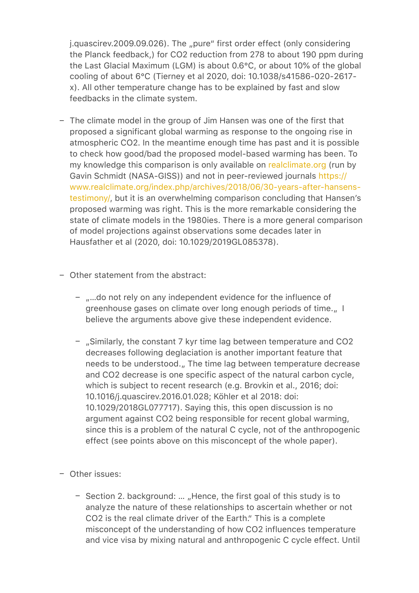j.quascirev.2009.09.026). The "pure" first order effect (only considering the Planck feedback,) for CO2 reduction from 278 to about 190 ppm during the Last Glacial Maximum (LGM) is about 0.6°C, or about 10% of the global cooling of about 6°C (Tierney et al 2020, doi: 10.1038/s41586-020-2617 x). All other temperature change has to be explained by fast and slow feedbacks in the climate system.

- The climate model in the group of Jim Hansen was one of the first that proposed a significant global warming as response to the ongoing rise in atmospheric CO2. In the meantime enough time has past and it is possible to check how good/bad the proposed model-based warming has been. To my knowledge this comparison is only available on [realclimate.org](http://realclimate.org) (run by Gavin Schmidt (NASA-GISS)) and not in peer-reviewed journals [https://](https://www.realclimate.org/index.php/archives/2018/06/30-years-after-hansens-testimony/) [www.realclimate.org/index.php/archives/2018/06/30-years-after-hansens](https://www.realclimate.org/index.php/archives/2018/06/30-years-after-hansens-testimony/)[testimony/](https://www.realclimate.org/index.php/archives/2018/06/30-years-after-hansens-testimony/), but it is an overwhelming comparison concluding that Hansen's proposed warming was right. This is the more remarkable considering the state of climate models in the 1980ies. There is a more general comparison of model projections against observations some decades later in Hausfather et al (2020, doi: 10.1029/2019GL085378).
- Other statement from the abstract:
	- "...do not rely on any independent evidence for the influence of greenhouse gases on climate over long enough periods of time. believe the arguments above give these independent evidence.
	- "Similarly, the constant 7 kyr time lag between temperature and CO2 decreases following deglaciation is another important feature that needs to be understood." The time lag between temperature decrease and CO2 decrease is one specific aspect of the natural carbon cycle, which is subject to recent research (e.g. Brovkin et al., 2016; doi: 10.1016/j.quascirev.2016.01.028; Köhler et al 2018: doi: 10.1029/2018GL077717). Saying this, this open discussion is no argument against CO2 being responsible for recent global warming, since this is a problem of the natural C cycle, not of the anthropogenic effect (see points above on this misconcept of the whole paper).
- Other issues:
	- Section 2. background: ... "Hence, the first goal of this study is to analyze the nature of these relationships to ascertain whether or not CO2 is the real climate driver of the Earth." This is a complete misconcept of the understanding of how CO2 influences temperature and vice visa by mixing natural and anthropogenic C cycle effect. Until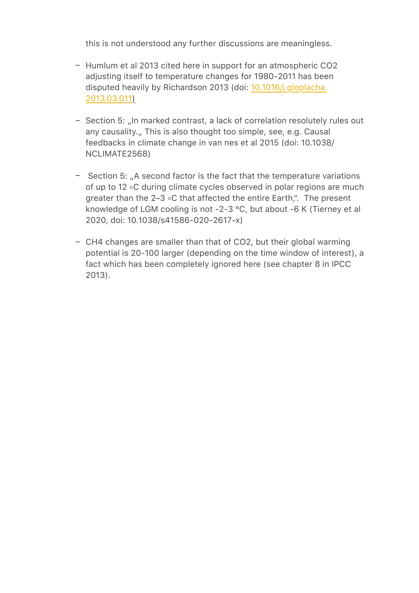this is not understood any further discussions are meaningless.

- Humlum et al 2013 cited here in support for an atmospheric CO2 adjusting itself to temperature changes for 1980-2011 has been disputed heavily by Richardson 2013 (doi: [10.1016/j.gloplacha.](http://dx.doi.org/10.1016/j.gloplacha.2013.03.011) [2013.03.011](http://dx.doi.org/10.1016/j.gloplacha.2013.03.011))
- Section 5: "In marked contrast, a lack of correlation resolutely rules out any causality. This is also thought too simple, see, e.g. Causal feedbacks in climate change in van nes et al 2015 (doi: 10.1038/ NCLIMATE2568)
- Section 5: "A second factor is the fact that the temperature variations of up to 12 ◦C during climate cycles observed in polar regions are much greater than the 2–3 ◦C that affected the entire Earth,". The present knowledge of LGM cooling is not -2-3 °C, but about -6 K (Tierney et al 2020, doi: 10.1038/s41586-020-2617-x)
- CH4 changes are smaller than that of CO2, but their global warming potential is 20-100 larger (depending on the time window of interest), a fact which has been completely ignored here (see chapter 8 in IPCC 2013).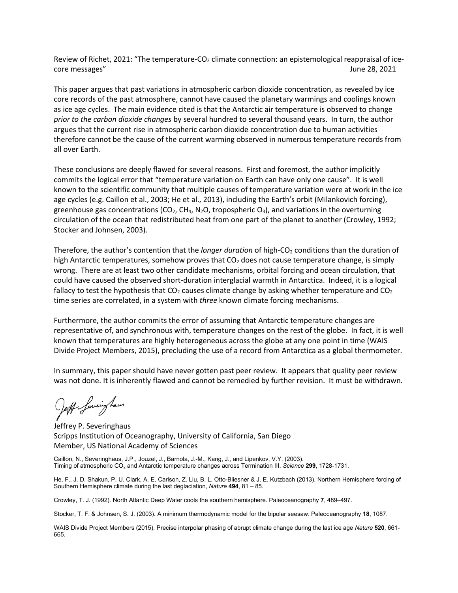Review of Richet, 2021: "The temperature-CO<sub>2</sub> climate connection: an epistemological reappraisal of icecore messages" June 28, 2021

This paper argues that past variations in atmospheric carbon dioxide concentration, as revealed by ice core records of the past atmosphere, cannot have caused the planetary warmings and coolings known as ice age cycles. The main evidence cited is that the Antarctic air temperature is observed to change *prior to the carbon dioxide changes* by several hundred to several thousand years. In turn, the author argues that the current rise in atmospheric carbon dioxide concentration due to human activities therefore cannot be the cause of the current warming observed in numerous temperature records from all over Earth.

These conclusions are deeply flawed for several reasons. First and foremost, the author implicitly commits the logical error that "temperature variation on Earth can have only one cause". It is well known to the scientific community that multiple causes of temperature variation were at work in the ice age cycles (e.g. Caillon et al., 2003; He et al., 2013), including the Earth's orbit (Milankovich forcing), greenhouse gas concentrations (CO<sub>2</sub>, CH<sub>4</sub>, N<sub>2</sub>O, tropospheric O<sub>3</sub>), and variations in the overturning circulation of the ocean that redistributed heat from one part of the planet to another (Crowley, 1992; Stocker and Johnsen, 2003).

Therefore, the author's contention that the *longer duration* of high-CO<sub>2</sub> conditions than the duration of high Antarctic temperatures, somehow proves that  $CO<sub>2</sub>$  does not cause temperature change, is simply wrong. There are at least two other candidate mechanisms, orbital forcing and ocean circulation, that could have caused the observed short-duration interglacial warmth in Antarctica. Indeed, it is a logical fallacy to test the hypothesis that  $CO<sub>2</sub>$  causes climate change by asking whether temperature and  $CO<sub>2</sub>$ time series are correlated, in a system with *three* known climate forcing mechanisms.

Furthermore, the author commits the error of assuming that Antarctic temperature changes are representative of, and synchronous with, temperature changes on the rest of the globe. In fact, it is well known that temperatures are highly heterogeneous across the globe at any one point in time (WAIS Divide Project Members, 2015), precluding the use of a record from Antarctica as a global thermometer.

In summary, this paper should have never gotten past peer review. It appears that quality peer review was not done. It is inherently flawed and cannot be remedied by further revision. It must be withdrawn.

Jeff faveing have

Jeffrey P. Severinghaus Scripps Institution of Oceanography, University of California, San Diego Member, US National Academy of Sciences

Caillon, N., Severinghaus, J.P., Jouzel, J., Barnola, J.-M., Kang, J., and Lipenkov, V.Y. (2003). Timing of atmospheric CO2 and Antarctic temperature changes across Termination III, *Science* **299**, 1728-1731.

He, F., J. D. Shakun, P. U. Clark, A. E. Carlson, Z. Liu, B. L. Otto-Bliesner & J. E. Kutzbach (2013). Northern Hemisphere forcing of Southern Hemisphere climate during the last deglaciation, *Nature* **494**, 81 – 85.

Crowley, T. J. (1992). North Atlantic Deep Water cools the southern hemisphere. Paleoceanography **7**, 489–497.

Stocker, T. F. & Johnsen, S. J. (2003). A minimum thermodynamic model for the bipolar seesaw. Paleoceanography **18**, 1087.

WAIS Divide Project Members (2015). Precise interpolar phasing of abrupt climate change during the last ice age *Nature* **520**, 661- 665.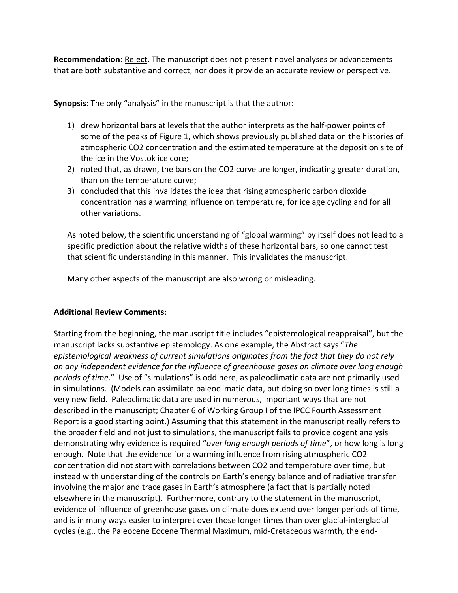**Recommendation**: Reject. The manuscript does not present novel analyses or advancements that are both substantive and correct, nor does it provide an accurate review or perspective.

**Synopsis**: The only "analysis" in the manuscript is that the author:

- 1) drew horizontal bars at levels that the author interprets as the half-power points of some of the peaks of Figure 1, which shows previously published data on the histories of atmospheric CO2 concentration and the estimated temperature at the deposition site of the ice in the Vostok ice core;
- 2) noted that, as drawn, the bars on the CO2 curve are longer, indicating greater duration, than on the temperature curve;
- 3) concluded that this invalidates the idea that rising atmospheric carbon dioxide concentration has a warming influence on temperature, for ice age cycling and for all other variations.

As noted below, the scientific understanding of "global warming" by itself does not lead to a specific prediction about the relative widths of these horizontal bars, so one cannot test that scientific understanding in this manner. This invalidates the manuscript.

Many other aspects of the manuscript are also wrong or misleading.

## **Additional Review Comments**:

Starting from the beginning, the manuscript title includes "epistemological reappraisal", but the manuscript lacks substantive epistemology. As one example, the Abstract says "*The epistemological weakness of current simulations originates from the fact that they do not rely on any independent evidence for the influence of greenhouse gases on climate over long enough periods of time*." Use of "simulations" is odd here, as paleoclimatic data are not primarily used in simulations. (Models can assimilate paleoclimatic data, but doing so over long times is still a very new field. Paleoclimatic data are used in numerous, important ways that are not described in the manuscript; Chapter 6 of Working Group I of the IPCC Fourth Assessment Report is a good starting point.) Assuming that this statement in the manuscript really refers to the broader field and not just to simulations, the manuscript fails to provide cogent analysis demonstrating why evidence is required "*over long enough periods of time*", or how long is long enough. Note that the evidence for a warming influence from rising atmospheric CO2 concentration did not start with correlations between CO2 and temperature over time, but instead with understanding of the controls on Earth's energy balance and of radiative transfer involving the major and trace gases in Earth's atmosphere (a fact that is partially noted elsewhere in the manuscript). Furthermore, contrary to the statement in the manuscript, evidence of influence of greenhouse gases on climate does extend over longer periods of time, and is in many ways easier to interpret over those longer times than over glacial-interglacial cycles (e.g., the Paleocene Eocene Thermal Maximum, mid-Cretaceous warmth, the end-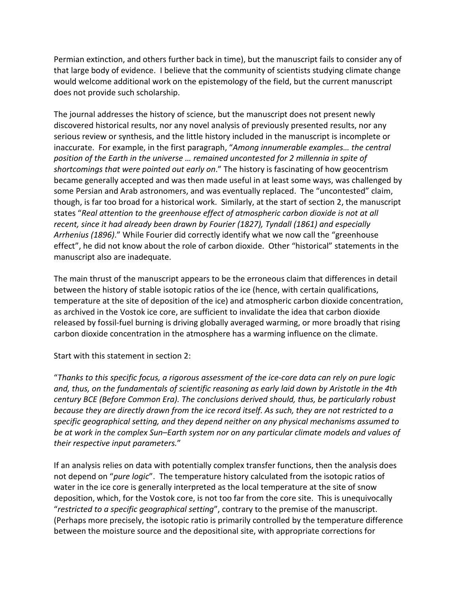Permian extinction, and others further back in time), but the manuscript fails to consider any of that large body of evidence. I believe that the community of scientists studying climate change would welcome additional work on the epistemology of the field, but the current manuscript does not provide such scholarship.

The journal addresses the history of science, but the manuscript does not present newly discovered historical results, nor any novel analysis of previously presented results, nor any serious review or synthesis, and the little history included in the manuscript is incomplete or inaccurate. For example, in the first paragraph, "*Among innumerable examples… the central position of the Earth in the universe … remained uncontested for 2 millennia in spite of shortcomings that were pointed out early on*." The history is fascinating of how geocentrism became generally accepted and was then made useful in at least some ways, was challenged by some Persian and Arab astronomers, and was eventually replaced. The "uncontested" claim, though, is far too broad for a historical work. Similarly, at the start of section 2, the manuscript states "*Real attention to the greenhouse effect of atmospheric carbon dioxide is not at all recent, since it had already been drawn by Fourier (1827), Tyndall (1861) and especially Arrhenius (1896)*." While Fourier did correctly identify what we now call the "greenhouse effect", he did not know about the role of carbon dioxide. Other "historical" statements in the manuscript also are inadequate.

The main thrust of the manuscript appears to be the erroneous claim that differences in detail between the history of stable isotopic ratios of the ice (hence, with certain qualifications, temperature at the site of deposition of the ice) and atmospheric carbon dioxide concentration, as archived in the Vostok ice core, are sufficient to invalidate the idea that carbon dioxide released by fossil-fuel burning is driving globally averaged warming, or more broadly that rising carbon dioxide concentration in the atmosphere has a warming influence on the climate.

Start with this statement in section 2:

"*Thanks to this specific focus, a rigorous assessment of the ice-core data can rely on pure logic and, thus, on the fundamentals of scientific reasoning as early laid down by Aristotle in the 4th century BCE (Before Common Era). The conclusions derived should, thus, be particularly robust because they are directly drawn from the ice record itself. As such, they are not restricted to a specific geographical setting, and they depend neither on any physical mechanisms assumed to be at work in the complex Sun–Earth system nor on any particular climate models and values of their respective input parameters.*"

If an analysis relies on data with potentially complex transfer functions, then the analysis does not depend on "*pure logic*". The temperature history calculated from the isotopic ratios of water in the ice core is generally interpreted as the local temperature at the site of snow deposition, which, for the Vostok core, is not too far from the core site. This is unequivocally "*restricted to a specific geographical setting*", contrary to the premise of the manuscript. (Perhaps more precisely, the isotopic ratio is primarily controlled by the temperature difference between the moisture source and the depositional site, with appropriate corrections for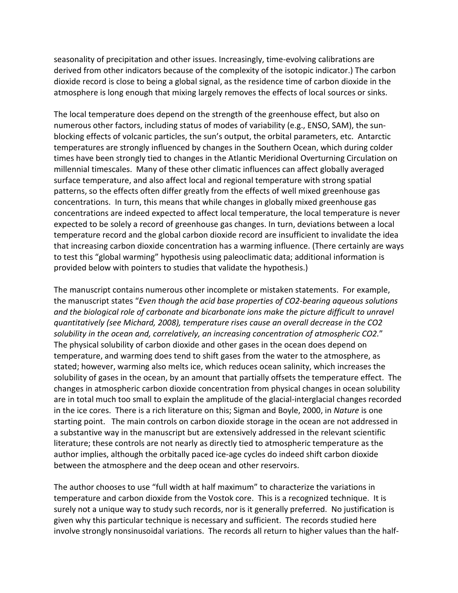seasonality of precipitation and other issues. Increasingly, time-evolving calibrations are derived from other indicators because of the complexity of the isotopic indicator.) The carbon dioxide record is close to being a global signal, as the residence time of carbon dioxide in the atmosphere is long enough that mixing largely removes the effects of local sources or sinks.

The local temperature does depend on the strength of the greenhouse effect, but also on numerous other factors, including status of modes of variability (e.g., ENSO, SAM), the sunblocking effects of volcanic particles, the sun's output, the orbital parameters, etc. Antarctic temperatures are strongly influenced by changes in the Southern Ocean, which during colder times have been strongly tied to changes in the Atlantic Meridional Overturning Circulation on millennial timescales. Many of these other climatic influences can affect globally averaged surface temperature, and also affect local and regional temperature with strong spatial patterns, so the effects often differ greatly from the effects of well mixed greenhouse gas concentrations. In turn, this means that while changes in globally mixed greenhouse gas concentrations are indeed expected to affect local temperature, the local temperature is never expected to be solely a record of greenhouse gas changes. In turn, deviations between a local temperature record and the global carbon dioxide record are insufficient to invalidate the idea that increasing carbon dioxide concentration has a warming influence. (There certainly are ways to test this "global warming" hypothesis using paleoclimatic data; additional information is provided below with pointers to studies that validate the hypothesis.)

The manuscript contains numerous other incomplete or mistaken statements. For example, the manuscript states "*Even though the acid base properties of CO2-bearing aqueous solutions and the biological role of carbonate and bicarbonate ions make the picture difficult to unravel quantitatively (see Michard, 2008), temperature rises cause an overall decrease in the CO2 solubility in the ocean and, correlatively, an increasing concentration of atmospheric CO2.*" The physical solubility of carbon dioxide and other gases in the ocean does depend on temperature, and warming does tend to shift gases from the water to the atmosphere, as stated; however, warming also melts ice, which reduces ocean salinity, which increases the solubility of gases in the ocean, by an amount that partially offsets the temperature effect. The changes in atmospheric carbon dioxide concentration from physical changes in ocean solubility are in total much too small to explain the amplitude of the glacial-interglacial changes recorded in the ice cores. There is a rich literature on this; Sigman and Boyle, 2000, in *Nature* is one starting point. The main controls on carbon dioxide storage in the ocean are not addressed in a substantive way in the manuscript but are extensively addressed in the relevant scientific literature; these controls are not nearly as directly tied to atmospheric temperature as the author implies, although the orbitally paced ice-age cycles do indeed shift carbon dioxide between the atmosphere and the deep ocean and other reservoirs.

The author chooses to use "full width at half maximum" to characterize the variations in temperature and carbon dioxide from the Vostok core. This is a recognized technique. It is surely not a unique way to study such records, nor is it generally preferred. No justification is given why this particular technique is necessary and sufficient. The records studied here involve strongly nonsinusoidal variations. The records all return to higher values than the half-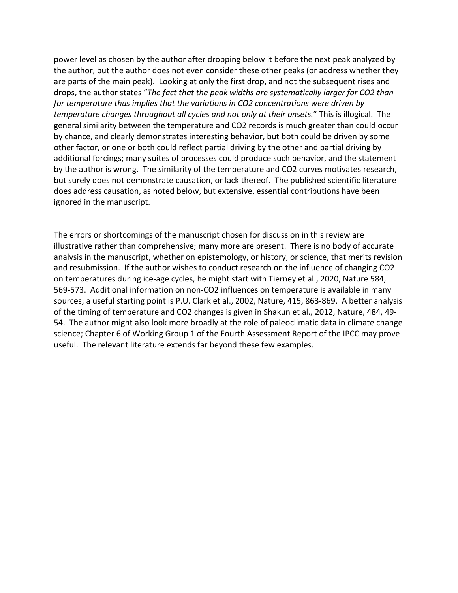power level as chosen by the author after dropping below it before the next peak analyzed by the author, but the author does not even consider these other peaks (or address whether they are parts of the main peak). Looking at only the first drop, and not the subsequent rises and drops, the author states "*The fact that the peak widths are systematically larger for CO2 than for temperature thus implies that the variations in CO2 concentrations were driven by temperature changes throughout all cycles and not only at their onsets.*" This is illogical. The general similarity between the temperature and CO2 records is much greater than could occur by chance, and clearly demonstrates interesting behavior, but both could be driven by some other factor, or one or both could reflect partial driving by the other and partial driving by additional forcings; many suites of processes could produce such behavior, and the statement by the author is wrong. The similarity of the temperature and CO2 curves motivates research, but surely does not demonstrate causation, or lack thereof. The published scientific literature does address causation, as noted below, but extensive, essential contributions have been ignored in the manuscript.

The errors or shortcomings of the manuscript chosen for discussion in this review are illustrative rather than comprehensive; many more are present. There is no body of accurate analysis in the manuscript, whether on epistemology, or history, or science, that merits revision and resubmission. If the author wishes to conduct research on the influence of changing CO2 on temperatures during ice-age cycles, he might start with Tierney et al., 2020, Nature 584, 569-573. Additional information on non-CO2 influences on temperature is available in many sources; a useful starting point is P.U. Clark et al., 2002, Nature, 415, 863-869. A better analysis of the timing of temperature and CO2 changes is given in Shakun et al., 2012, Nature, 484, 49- 54. The author might also look more broadly at the role of paleoclimatic data in climate change science; Chapter 6 of Working Group 1 of the Fourth Assessment Report of the IPCC may prove useful. The relevant literature extends far beyond these few examples.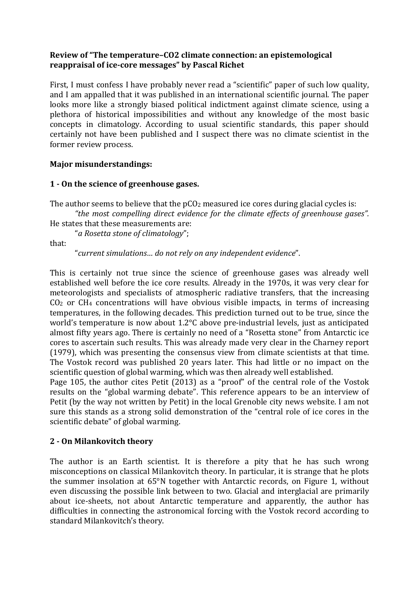## **Review of "The temperature–CO2 climate connection: an epistemological reappraisal of ice-core messages" by Pascal Richet**

First, I must confess I have probably never read a "scientific" paper of such low quality, and I am appalled that it was published in an international scientific journal. The paper looks more like a strongly biased political indictment against climate science, using a plethora of historical impossibilities and without any knowledge of the most basic concepts in climatology. According to usual scientific standards, this paper should certainly not have been published and I suspect there was no climate scientist in the former review process.

## **Major misunderstandings:**

## **1 - On the science of greenhouse gases.**

The author seems to believe that the  $pCO<sub>2</sub>$  measured ice cores during glacial cycles is:

*"the most compelling direct evidence for the climate effects of greenhouse gases".* He states that these measurements are:

"*a Rosetta stone of climatology*";

that:

"*current simulations… do not rely on any independent evidence*".

This is certainly not true since the science of greenhouse gases was already well established well before the ice core results. Already in the 1970s, it was very clear for meteorologists and specialists of atmospheric radiative transfers, that the increasing CO2 or CH4 concentrations will have obvious visible impacts, in terms of increasing temperatures, in the following decades. This prediction turned out to be true, since the world's temperature is now about 1.2°C above pre-industrial levels, just as anticipated almost fifty years ago. There is certainly no need of a "Rosetta stone" from Antarctic ice cores to ascertain such results. This was already made very clear in the Charney report (1979), which was presenting the consensus view from climate scientists at that time. The Vostok record was published 20 years later. This had little or no impact on the scientific question of global warming, which was then already well established.

Page 105, the author cites Petit (2013) as a "proof" of the central role of the Vostok results on the "global warming debate". This reference appears to be an interview of Petit (by the way not written by Petit) in the local Grenoble city news website. I am not sure this stands as a strong solid demonstration of the "central role of ice cores in the scientific debate" of global warming.

# **2 - On Milankovitch theory**

The author is an Earth scientist. It is therefore a pity that he has such wrong misconceptions on classical Milankovitch theory. In particular, it is strange that he plots the summer insolation at 65°N together with Antarctic records, on Figure 1, without even discussing the possible link between to two. Glacial and interglacial are primarily about ice-sheets, not about Antarctic temperature and apparently, the author has difficulties in connecting the astronomical forcing with the Vostok record according to standard Milankovitch's theory.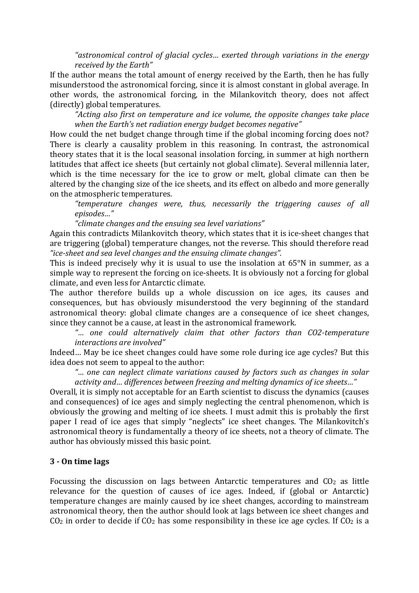*"astronomical control of glacial cycles… exerted through variations in the energy received by the Earth"*

If the author means the total amount of energy received by the Earth, then he has fully misunderstood the astronomical forcing, since it is almost constant in global average. In other words, the astronomical forcing, in the Milankovitch theory, does not affect (directly) global temperatures.

*"Acting also first on temperature and ice volume, the opposite changes take place when the Earth's net radiation energy budget becomes negative"*

How could the net budget change through time if the global incoming forcing does not? There is clearly a causality problem in this reasoning. In contrast, the astronomical theory states that it is the local seasonal insolation forcing, in summer at high northern latitudes that affect ice sheets (but certainly not global climate). Several millennia later, which is the time necessary for the ice to grow or melt, global climate can then be altered by the changing size of the ice sheets, and its effect on albedo and more generally on the atmospheric temperatures.

*"temperature changes were, thus, necessarily the triggering causes of all episodes…"*

*"climate changes and the ensuing sea level variations"*

Again this contradicts Milankovitch theory, which states that it is ice-sheet changes that are triggering (global) temperature changes, not the reverse. This should therefore read *"ice-sheet and sea level changes and the ensuing climate changes".*

This is indeed precisely why it is usual to use the insolation at 65°N in summer, as a simple way to represent the forcing on ice-sheets. It is obviously not a forcing for global climate, and even less for Antarctic climate.

The author therefore builds up a whole discussion on ice ages, its causes and consequences, but has obviously misunderstood the very beginning of the standard astronomical theory: global climate changes are a consequence of ice sheet changes, since they cannot be a cause, at least in the astronomical framework.

*"… one could alternatively claim that other factors than CO2-temperature interactions are involved"*

Indeed… May be ice sheet changes could have some role during ice age cycles? But this idea does not seem to appeal to the author:

*"… one can neglect climate variations caused by factors such as changes in solar activity and… differences between freezing and melting dynamics of ice sheets…"*

Overall, it is simply not acceptable for an Earth scientist to discuss the dynamics (causes and consequences) of ice ages and simply neglecting the central phenomenon, which is obviously the growing and melting of ice sheets. I must admit this is probably the first paper I read of ice ages that simply "neglects" ice sheet changes. The Milankovitch's astronomical theory is fundamentally a theory of ice sheets, not a theory of climate. The author has obviously missed this basic point.

## **3 - On time lags**

Focussing the discussion on lags between Antarctic temperatures and CO2 as little relevance for the question of causes of ice ages. Indeed, if (global or Antarctic) temperature changes are mainly caused by ice sheet changes, according to mainstream astronomical theory, then the author should look at lags between ice sheet changes and  $CO<sub>2</sub>$  in order to decide if  $CO<sub>2</sub>$  has some responsibility in these ice age cycles. If  $CO<sub>2</sub>$  is a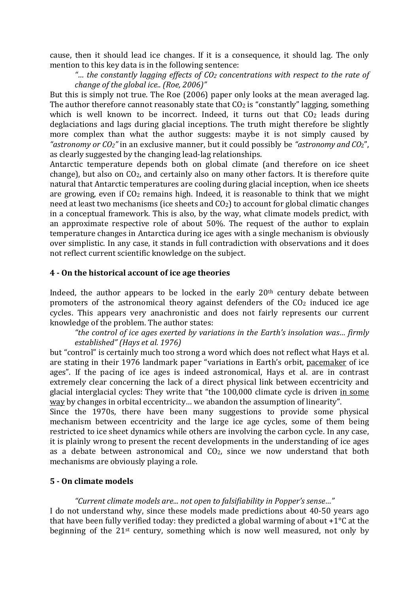cause, then it should lead ice changes. If it is a consequence, it should lag. The only mention to this key data is in the following sentence:

*"… the constantly lagging effects of CO2 concentrations with respect to the rate of change of the global ice.. (Roe, 2006)"*

But this is simply not true. The Roe (2006) paper only looks at the mean averaged lag. The author therefore cannot reasonably state that  $CO<sub>2</sub>$  is "constantly" lagging, something which is well known to be incorrect. Indeed, it turns out that  $CO<sub>2</sub>$  leads during deglaciations and lags during glacial inceptions. The truth might therefore be slightly more complex than what the author suggests: maybe it is not simply caused by *"astronomy or CO2"* in an exclusive manner, but it could possibly be *"astronomy and CO*2", as clearly suggested by the changing lead-lag relationships.

Antarctic temperature depends both on global climate (and therefore on ice sheet change), but also on CO2, and certainly also on many other factors. It is therefore quite natural that Antarctic temperatures are cooling during glacial inception, when ice sheets are growing, even if  $CO<sub>2</sub>$  remains high. Indeed, it is reasonable to think that we might need at least two mechanisms (ice sheets and  $CO<sub>2</sub>$ ) to account for global climatic changes in a conceptual framework. This is also, by the way, what climate models predict, with an approximate respective role of about 50%. The request of the author to explain temperature changes in Antarctica during ice ages with a single mechanism is obviously over simplistic. In any case, it stands in full contradiction with observations and it does not reflect current scientific knowledge on the subject.

## **4 - On the historical account of ice age theories**

Indeed, the author appears to be locked in the early 20<sup>th</sup> century debate between promoters of the astronomical theory against defenders of the  $CO<sub>2</sub>$  induced ice age cycles. This appears very anachronistic and does not fairly represents our current knowledge of the problem. The author states:

*"the control of ice ages exerted by variations in the Earth's insolation was… firmly established" (Hays et al. 1976)*

but "control" is certainly much too strong a word which does not reflect what Hays et al. are stating in their 1976 landmark paper "variations in Earth's orbit, pacemaker of ice ages". If the pacing of ice ages is indeed astronomical, Hays et al. are in contrast extremely clear concerning the lack of a direct physical link between eccentricity and glacial interglacial cycles: They write that "the 100,000 climate cycle is driven in some way by changes in orbital eccentricity... we abandon the assumption of linearity".

Since the 1970s, there have been many suggestions to provide some physical mechanism between eccentricity and the large ice age cycles, some of them being restricted to ice sheet dynamics while others are involving the carbon cycle. In any case, it is plainly wrong to present the recent developments in the understanding of ice ages as a debate between astronomical and  $CO<sub>2</sub>$ , since we now understand that both mechanisms are obviously playing a role.

## **5 - On climate models**

## *"Current climate models are... not open to falsifiability in Popper's sense…"*

I do not understand why, since these models made predictions about 40-50 years ago that have been fully verified today: they predicted a global warming of about  $+1^{\circ}$ C at the beginning of the 21st century, something which is now well measured, not only by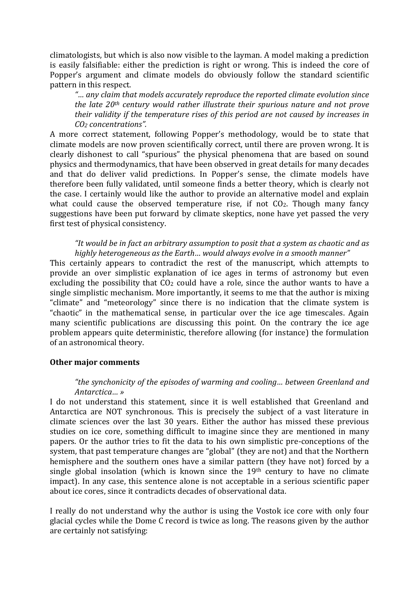climatologists, but which is also now visible to the layman. A model making a prediction is easily falsifiable: either the prediction is right or wrong. This is indeed the core of Popper's argument and climate models do obviously follow the standard scientific pattern in this respect.

*"… any claim that models accurately reproduce the reported climate evolution since the late 20th century would rather illustrate their spurious nature and not prove their validity if the temperature rises of this period are not caused by increases in CO2 concentrations".*

A more correct statement, following Popper's methodology, would be to state that climate models are now proven scientifically correct, until there are proven wrong. It is clearly dishonest to call "spurious" the physical phenomena that are based on sound physics and thermodynamics, that have been observed in great details for many decades and that do deliver valid predictions. In Popper's sense, the climate models have therefore been fully validated, until someone finds a better theory, which is clearly not the case. I certainly would like the author to provide an alternative model and explain what could cause the observed temperature rise, if not  $CO<sub>2</sub>$ . Though many fancy suggestions have been put forward by climate skeptics, none have yet passed the very first test of physical consistency.

### *"It would be in fact an arbitrary assumption to posit that a system as chaotic and as highly heterogeneous as the Earth… would always evolve in a smooth manner"*

This certainly appears to contradict the rest of the manuscript, which attempts to provide an over simplistic explanation of ice ages in terms of astronomy but even excluding the possibility that CO<sub>2</sub> could have a role, since the author wants to have a single simplistic mechanism. More importantly, it seems to me that the author is mixing "climate" and "meteorology" since there is no indication that the climate system is "chaotic" in the mathematical sense, in particular over the ice age timescales. Again many scientific publications are discussing this point. On the contrary the ice age problem appears quite deterministic, therefore allowing (for instance) the formulation of an astronomical theory.

## **Other major comments**

## *"the synchonicity of the episodes of warming and cooling… between Greenland and Antarctica… »*

I do not understand this statement, since it is well established that Greenland and Antarctica are NOT synchronous. This is precisely the subject of a vast literature in climate sciences over the last 30 years. Either the author has missed these previous studies on ice core, something difficult to imagine since they are mentioned in many papers. Or the author tries to fit the data to his own simplistic pre-conceptions of the system, that past temperature changes are "global" (they are not) and that the Northern hemisphere and the southern ones have a similar pattern (they have not) forced by a single global insolation (which is known since the  $19<sup>th</sup>$  century to have no climate impact). In any case, this sentence alone is not acceptable in a serious scientific paper about ice cores, since it contradicts decades of observational data.

I really do not understand why the author is using the Vostok ice core with only four glacial cycles while the Dome C record is twice as long. The reasons given by the author are certainly not satisfying: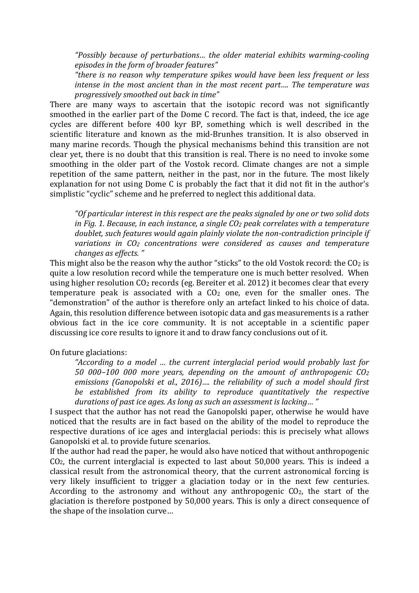*"Possibly because of perturbations… the older material exhibits warming-cooling episodes in the form of broader features"*

*"there is no reason why temperature spikes would have been less frequent or less intense in the most ancient than in the most recent part…. The temperature was progressively smoothed out back in time"*

There are many ways to ascertain that the isotopic record was not significantly smoothed in the earlier part of the Dome C record. The fact is that, indeed, the ice age cycles are different before 400 kyr BP, something which is well described in the scientific literature and known as the mid-Brunhes transition. It is also observed in many marine records. Though the physical mechanisms behind this transition are not clear yet, there is no doubt that this transition is real. There is no need to invoke some smoothing in the older part of the Vostok record. Climate changes are not a simple repetition of the same pattern, neither in the past, nor in the future. The most likely explanation for not using Dome C is probably the fact that it did not fit in the author's simplistic "cyclic" scheme and he preferred to neglect this additional data.

*"Of particular interest in this respect are the peaks signaled by one or two solid dots in Fig. 1. Because, in each instance, a single CO2 peak correlates with a temperature doublet, such features would again plainly violate the non-contradiction principle if variations in CO2 concentrations were considered as causes and temperature changes as effects. "*

This might also be the reason why the author "sticks" to the old Vostok record: the  $CO<sub>2</sub>$  is quite a low resolution record while the temperature one is much better resolved. When using higher resolution CO2 records (eg. Bereiter et al. 2012) it becomes clear that every temperature peak is associated with a  $CO<sub>2</sub>$  one, even for the smaller ones. The "demonstration" of the author is therefore only an artefact linked to his choice of data. Again, this resolution difference between isotopic data and gas measurements is a rather obvious fact in the ice core community. It is not acceptable in a scientific paper discussing ice core results to ignore it and to draw fancy conclusions out of it.

On future glaciations:

*"According to a model … the current interglacial period would probably last for 50 000–100 000 more years, depending on the amount of anthropogenic CO2 emissions (Ganopolski et al., 2016)…. the reliability of such a model should first be established from its ability to reproduce quantitatively the respective durations of past ice ages. As long as such an assessment is lacking… "*

I suspect that the author has not read the Ganopolski paper, otherwise he would have noticed that the results are in fact based on the ability of the model to reproduce the respective durations of ice ages and interglacial periods: this is precisely what allows Ganopolski et al. to provide future scenarios.

If the author had read the paper, he would also have noticed that without anthropogenic CO2, the current interglacial is expected to last about 50,000 years. This is indeed a classical result from the astronomical theory, that the current astronomical forcing is very likely insufficient to trigger a glaciation today or in the next few centuries. According to the astronomy and without any anthropogenic CO2, the start of the glaciation is therefore postponed by 50,000 years. This is only a direct consequence of the shape of the insolation curve…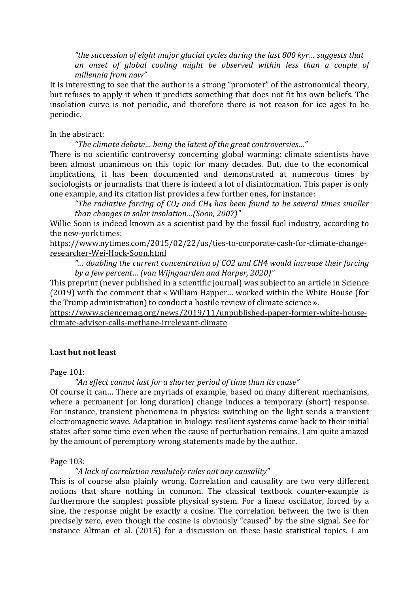*"the succession of eight major glacial cycles during the last 800 kyr… suggests that an onset of global cooling might be observed within less than a couple of millennia from now"*

It is interesting to see that the author is a strong "promoter" of the astronomical theory, but refuses to apply it when it predicts something that does not fit his own beliefs. The insolation curve is not periodic, and therefore there is not reason for ice ages to be periodic.

### In the abstract:

*"The climate debate… being the latest of the great controversies…"*

There is no scientific controversy concerning global warming: climate scientists have been almost unanimous on this topic for many decades. But, due to the economical implications, it has been documented and demonstrated at numerous times by sociologists or journalists that there is indeed a lot of disinformation. This paper is only one example, and its citation list provides a few further ones, for instance:

*"The radiative forcing of CO2 and CH4 has been found to be several times smaller than changes in solar insolation…(Soon, 2007)"*

Willie Soon is indeed known as a scientist paid by the fossil fuel industry, according to the new-york times:

https://www.nytimes.com/2015/02/22/us/ties-to-corporate-cash-for-climate-changeresearcher-Wei-Hock-Soon.html

*"… doubling the current concentration of CO2 and CH4 would increase their forcing by a few percent… (van Wijngaarden and Harper, 2020)"*

This preprint (never published in a scientific journal) was subject to an article in Science (2019) with the comment that « William Happer… worked within the White House (for the Trump administration) to conduct a hostile review of climate science ».

https://www.sciencemag.org/news/2019/11/unpublished-paper-former-white-houseclimate-adviser-calls-methane-irrelevant-climate

### **Last but not least**

Page 101:

*"An effect cannot last for a shorter period of time than its cause"*

Of course it can… There are myriads of example, based on many different mechanisms, where a permanent (or long duration) change induces a temporary (short) response. For instance, transient phenomena in physics: switching on the light sends a transient electromagnetic wave. Adaptation in biology: resilient systems come back to their initial states after some time even when the cause of perturbation remains. I am quite amazed by the amount of peremptory wrong statements made by the author.

Page 103:

### *"A lack of correlation resolutely rules out any causality"*

This is of course also plainly wrong. Correlation and causality are two very different notions that share nothing in common. The classical textbook counter-example is furthermore the simplest possible physical system. For a linear oscillator, forced by a sine, the response might be exactly a cosine. The correlation between the two is then precisely zero, even though the cosine is obviously "caused" by the sine signal. See for instance Altman et al. (2015) for a discussion on these basic statistical topics. I am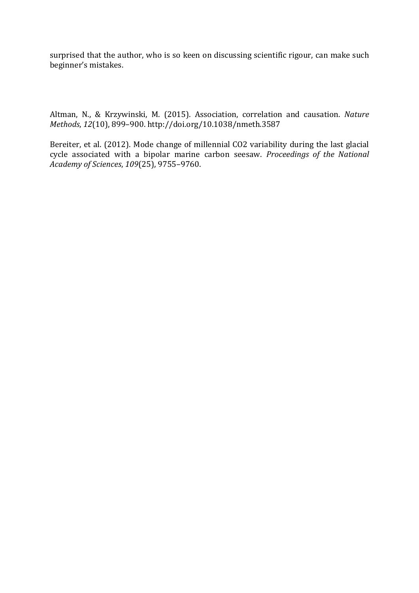surprised that the author, who is so keen on discussing scientific rigour, can make such beginner's mistakes.

Altman, N., & Krzywinski, M. (2015). Association, correlation and causation. *Nature Methods*, *12*(10), 899–900. http://doi.org/10.1038/nmeth.3587

Bereiter, et al. (2012). Mode change of millennial CO2 variability during the last glacial cycle associated with a bipolar marine carbon seesaw. *Proceedings of the National Academy of Sciences*, *109*(25), 9755–9760.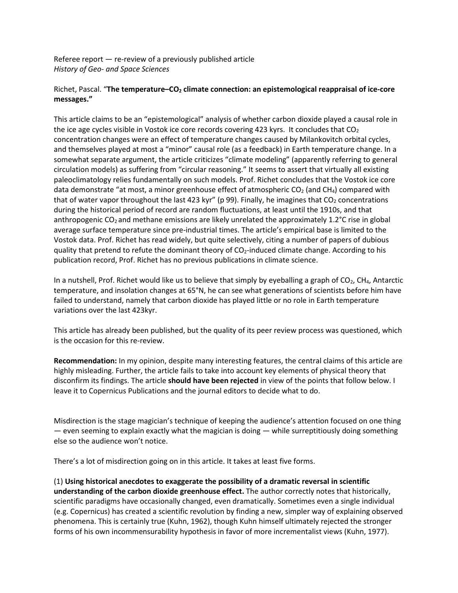Referee report — re-review of a previously published article *History of Geo- and Space Sciences*

#### Richet, Pascal. "**The temperature–CO2 climate connection: an epistemological reappraisal of ice-core messages."**

This article claims to be an "epistemological" analysis of whether carbon dioxide played a causal role in the ice age cycles visible in Vostok ice core records covering 423 kyrs. It concludes that  $CO<sub>2</sub>$ concentration changes were an effect of temperature changes caused by Milankovitch orbital cycles, and themselves played at most a "minor" causal role (as a feedback) in Earth temperature change. In a somewhat separate argument, the article criticizes "climate modeling" (apparently referring to general circulation models) as suffering from "circular reasoning." It seems to assert that virtually all existing paleoclimatology relies fundamentally on such models. Prof. Richet concludes that the Vostok ice core data demonstrate "at most, a minor greenhouse effect of atmospheric  $CO<sub>2</sub>$  (and  $CH<sub>4</sub>$ ) compared with that of water vapor throughout the last 423 kyr" (p 99). Finally, he imagines that  $CO<sub>2</sub>$  concentrations during the historical period of record are random fluctuations, at least until the 1910s, and that anthropogenic  $CO<sub>2</sub>$  and methane emissions are likely unrelated the approximately 1.2 $^{\circ}$ C rise in global average surface temperature since pre-industrial times. The article's empirical base is limited to the Vostok data. Prof. Richet has read widely, but quite selectively, citing a number of papers of dubious quality that pretend to refute the dominant theory of  $CO<sub>2</sub>$ -induced climate change. According to his publication record, Prof. Richet has no previous publications in climate science.

In a nutshell, Prof. Richet would like us to believe that simply by eyeballing a graph of CO<sub>2</sub>, CH<sub>4</sub>, Antarctic temperature, and insolation changes at 65°N, he can see what generations of scientists before him have failed to understand, namely that carbon dioxide has played little or no role in Earth temperature variations over the last 423kyr.

This article has already been published, but the quality of its peer review process was questioned, which is the occasion for this re-review.

**Recommendation:** In my opinion, despite many interesting features, the central claims of this article are highly misleading. Further, the article fails to take into account key elements of physical theory that disconfirm its findings. The article **should have been rejected** in view of the points that follow below. I leave it to Copernicus Publications and the journal editors to decide what to do.

Misdirection is the stage magician's technique of keeping the audience's attention focused on one thing — even seeming to explain exactly what the magician is doing — while surreptitiously doing something else so the audience won't notice.

There's a lot of misdirection going on in this article. It takes at least five forms.

(1) **Using historical anecdotes to exaggerate the possibility of a dramatic reversal in scientific understanding of the carbon dioxide greenhouse effect.** The author correctly notes that historically, scientific paradigms have occasionally changed, even dramatically. Sometimes even a single individual (e.g. Copernicus) has created a scientific revolution by finding a new, simpler way of explaining observed phenomena. This is certainly true (Kuhn, 1962), though Kuhn himself ultimately rejected the stronger forms of his own incommensurability hypothesis in favor of more incrementalist views (Kuhn, 1977).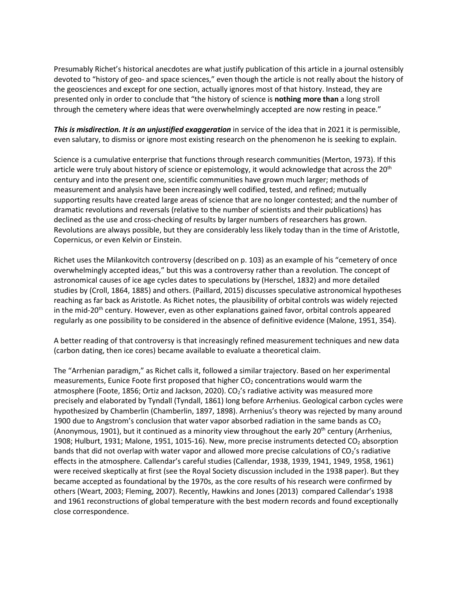Presumably Richet's historical anecdotes are what justify publication of this article in a journal ostensibly devoted to "history of geo- and space sciences," even though the article is not really about the history of the geosciences and except for one section, actually ignores most of that history. Instead, they are presented only in order to conclude that "the history of science is **nothing more than** a long stroll through the cemetery where ideas that were overwhelmingly accepted are now resting in peace."

*This is misdirection. It is an unjustified exaggeration* in service of the idea that in 2021 it is permissible, even salutary, to dismiss or ignore most existing research on the phenomenon he is seeking to explain.

Science is a cumulative enterprise that functions through research communities (Merton, 1973). If this article were truly about history of science or epistemology, it would acknowledge that across the  $20<sup>th</sup>$ century and into the present one, scientific communities have grown much larger; methods of measurement and analysis have been increasingly well codified, tested, and refined; mutually supporting results have created large areas of science that are no longer contested; and the number of dramatic revolutions and reversals (relative to the number of scientists and their publications) has declined as the use and cross-checking of results by larger numbers of researchers has grown. Revolutions are always possible, but they are considerably less likely today than in the time of Aristotle, Copernicus, or even Kelvin or Einstein.

Richet uses the Milankovitch controversy (described on p. 103) as an example of his "cemetery of once overwhelmingly accepted ideas," but this was a controversy rather than a revolution. The concept of astronomical causes of ice age cycles dates to speculations by (Herschel, 1832) and more detailed studies by (Croll, 1864, 1885) and others. (Paillard, 2015) discusses speculative astronomical hypotheses reaching as far back as Aristotle. As Richet notes, the plausibility of orbital controls was widely rejected in the mid-20<sup>th</sup> century. However, even as other explanations gained favor, orbital controls appeared regularly as one possibility to be considered in the absence of definitive evidence (Malone, 1951, 354).

A better reading of that controversy is that increasingly refined measurement techniques and new data (carbon dating, then ice cores) became available to evaluate a theoretical claim.

The "Arrhenian paradigm," as Richet calls it, followed a similar trajectory. Based on her experimental measurements, Eunice Foote first proposed that higher  $CO<sub>2</sub>$  concentrations would warm the atmosphere (Foote, 1856; Ortiz and Jackson, 2020).  $CO<sub>2</sub>'s$  radiative activity was measured more precisely and elaborated by Tyndall (Tyndall, 1861) long before Arrhenius. Geological carbon cycles were hypothesized by Chamberlin (Chamberlin, 1897, 1898). Arrhenius's theory was rejected by many around 1900 due to Angstrom's conclusion that water vapor absorbed radiation in the same bands as  $CO<sub>2</sub>$ (Anonymous, 1901), but it continued as a minority view throughout the early  $20^{th}$  century (Arrhenius, 1908; Hulburt, 1931; Malone, 1951, 1015-16). New, more precise instruments detected  $CO<sub>2</sub>$  absorption bands that did not overlap with water vapor and allowed more precise calculations of  $CO<sub>2</sub>'s$  radiative effects in the atmosphere. Callendar's careful studies (Callendar, 1938, 1939, 1941, 1949, 1958, 1961) were received skeptically at first (see the Royal Society discussion included in the 1938 paper). But they became accepted as foundational by the 1970s, as the core results of his research were confirmed by others (Weart, 2003; Fleming, 2007). Recently, Hawkins and Jones (2013) compared Callendar's 1938 and 1961 reconstructions of global temperature with the best modern records and found exceptionally close correspondence.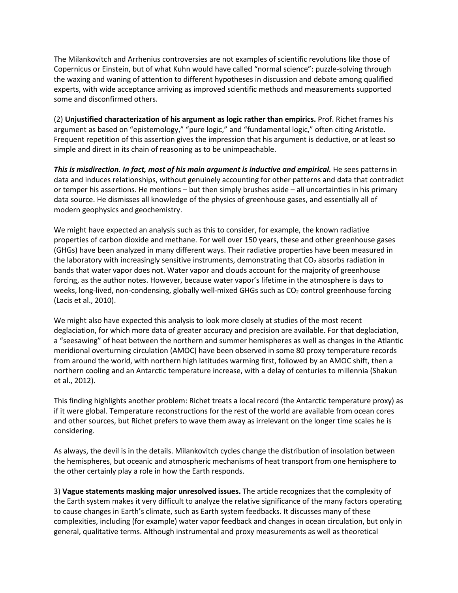The Milankovitch and Arrhenius controversies are not examples of scientific revolutions like those of Copernicus or Einstein, but of what Kuhn would have called "normal science": puzzle-solving through the waxing and waning of attention to different hypotheses in discussion and debate among qualified experts, with wide acceptance arriving as improved scientific methods and measurements supported some and disconfirmed others.

(2) **Unjustified characterization of his argument as logic rather than empirics.** Prof. Richet frames his argument as based on "epistemology," "pure logic," and "fundamental logic," often citing Aristotle. Frequent repetition of this assertion gives the impression that his argument is deductive, or at least so simple and direct in its chain of reasoning as to be unimpeachable.

*This is misdirection. In fact, most of his main argument is inductive and empirical.* **He sees patterns in** data and induces relationships, without genuinely accounting for other patterns and data that contradict or temper his assertions. He mentions – but then simply brushes aside – all uncertainties in his primary data source. He dismisses all knowledge of the physics of greenhouse gases, and essentially all of modern geophysics and geochemistry.

We might have expected an analysis such as this to consider, for example, the known radiative properties of carbon dioxide and methane. For well over 150 years, these and other greenhouse gases (GHGs) have been analyzed in many different ways. Their radiative properties have been measured in the laboratory with increasingly sensitive instruments, demonstrating that  $CO<sub>2</sub>$  absorbs radiation in bands that water vapor does not. Water vapor and clouds account for the majority of greenhouse forcing, as the author notes. However, because water vapor's lifetime in the atmosphere is days to weeks, long-lived, non-condensing, globally well-mixed GHGs such as  $CO<sub>2</sub>$  control greenhouse forcing (Lacis et al., 2010).

We might also have expected this analysis to look more closely at studies of the most recent deglaciation, for which more data of greater accuracy and precision are available. For that deglaciation, a "seesawing" of heat between the northern and summer hemispheres as well as changes in the Atlantic meridional overturning circulation (AMOC) have been observed in some 80 proxy temperature records from around the world, with northern high latitudes warming first, followed by an AMOC shift, then a northern cooling and an Antarctic temperature increase, with a delay of centuries to millennia (Shakun et al., 2012).

This finding highlights another problem: Richet treats a local record (the Antarctic temperature proxy) as if it were global. Temperature reconstructions for the rest of the world are available from ocean cores and other sources, but Richet prefers to wave them away as irrelevant on the longer time scales he is considering.

As always, the devil is in the details. Milankovitch cycles change the distribution of insolation between the hemispheres, but oceanic and atmospheric mechanisms of heat transport from one hemisphere to the other certainly play a role in how the Earth responds.

3) **Vague statements masking major unresolved issues.** The article recognizes that the complexity of the Earth system makes it very difficult to analyze the relative significance of the many factors operating to cause changes in Earth's climate, such as Earth system feedbacks. It discusses many of these complexities, including (for example) water vapor feedback and changes in ocean circulation, but only in general, qualitative terms. Although instrumental and proxy measurements as well as theoretical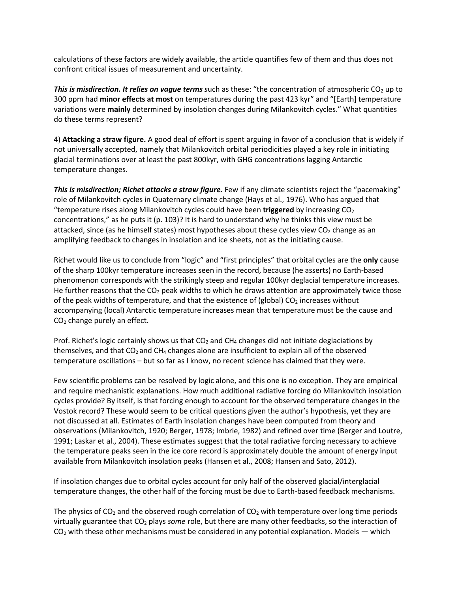calculations of these factors are widely available, the article quantifies few of them and thus does not confront critical issues of measurement and uncertainty.

*This is misdirection. It relies on vague terms* such as these: "the concentration of atmospheric CO<sub>2</sub> up to 300 ppm had **minor effects at most** on temperatures during the past 423 kyr" and "[Earth] temperature variations were **mainly** determined by insolation changes during Milankovitch cycles." What quantities do these terms represent?

4) **Attacking a straw figure.** A good deal of effort is spent arguing in favor of a conclusion that is widely if not universally accepted, namely that Milankovitch orbital periodicities played a key role in initiating glacial terminations over at least the past 800kyr, with GHG concentrations lagging Antarctic temperature changes.

**This is misdirection; Richet attacks a straw figure.** Few if any climate scientists reject the "pacemaking" role of Milankovitch cycles in Quaternary climate change (Hays et al., 1976). Who has argued that "temperature rises along Milankovitch cycles could have been **triggered** by increasing CO2 concentrations," as he puts it (p. 103)? It is hard to understand why he thinks this view must be attacked, since (as he himself states) most hypotheses about these cycles view  $CO<sub>2</sub>$  change as an amplifying feedback to changes in insolation and ice sheets, not as the initiating cause.

Richet would like us to conclude from "logic" and "first principles" that orbital cycles are the **only** cause of the sharp 100kyr temperature increases seen in the record, because (he asserts) no Earth-based phenomenon corresponds with the strikingly steep and regular 100kyr deglacial temperature increases. He further reasons that the  $CO<sub>2</sub>$  peak widths to which he draws attention are approximately twice those of the peak widths of temperature, and that the existence of (global)  $CO<sub>2</sub>$  increases without accompanying (local) Antarctic temperature increases mean that temperature must be the cause and CO2 change purely an effect.

Prof. Richet's logic certainly shows us that  $CO<sub>2</sub>$  and  $CH<sub>4</sub>$  changes did not initiate deglaciations by themselves, and that  $CO<sub>2</sub>$  and CH<sub>4</sub> changes alone are insufficient to explain all of the observed temperature oscillations – but so far as I know, no recent science has claimed that they were.

Few scientific problems can be resolved by logic alone, and this one is no exception. They are empirical and require mechanistic explanations. How much additional radiative forcing do Milankovitch insolation cycles provide? By itself, is that forcing enough to account for the observed temperature changes in the Vostok record? These would seem to be critical questions given the author's hypothesis, yet they are not discussed at all. Estimates of Earth insolation changes have been computed from theory and observations (Milankovitch, 1920; Berger, 1978; Imbrie, 1982) and refined over time (Berger and Loutre, 1991; Laskar et al., 2004). These estimates suggest that the total radiative forcing necessary to achieve the temperature peaks seen in the ice core record is approximately double the amount of energy input available from Milankovitch insolation peaks (Hansen et al., 2008; Hansen and Sato, 2012).

If insolation changes due to orbital cycles account for only half of the observed glacial/interglacial temperature changes, the other half of the forcing must be due to Earth-based feedback mechanisms.

The physics of  $CO<sub>2</sub>$  and the observed rough correlation of  $CO<sub>2</sub>$  with temperature over long time periods virtually guarantee that CO2 plays *some* role, but there are many other feedbacks, so the interaction of  $CO<sub>2</sub>$  with these other mechanisms must be considered in any potential explanation. Models — which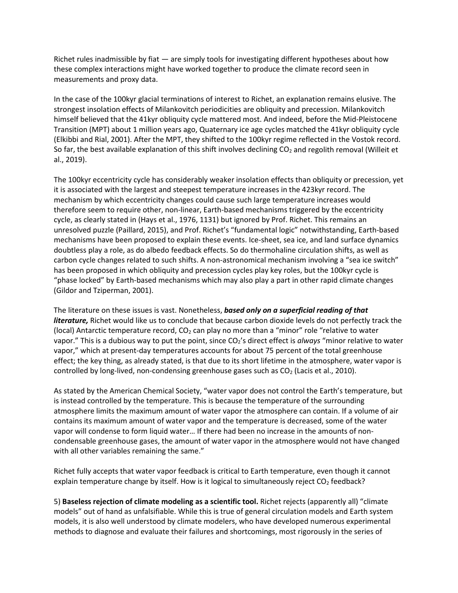Richet rules inadmissible by fiat — are simply tools for investigating different hypotheses about how these complex interactions might have worked together to produce the climate record seen in measurements and proxy data.

In the case of the 100kyr glacial terminations of interest to Richet, an explanation remains elusive. The strongest insolation effects of Milankovitch periodicities are obliquity and precession. Milankovitch himself believed that the 41kyr obliquity cycle mattered most. And indeed, before the Mid-Pleistocene Transition (MPT) about 1 million years ago, Quaternary ice age cycles matched the 41kyr obliquity cycle (Elkibbi and Rial, 2001). After the MPT, they shifted to the 100kyr regime reflected in the Vostok record. So far, the best available explanation of this shift involves declining  $CO<sub>2</sub>$  and regolith removal (Willeit et al., 2019).

The 100kyr eccentricity cycle has considerably weaker insolation effects than obliquity or precession, yet it is associated with the largest and steepest temperature increases in the 423kyr record. The mechanism by which eccentricity changes could cause such large temperature increases would therefore seem to require other, non-linear, Earth-based mechanisms triggered by the eccentricity cycle, as clearly stated in (Hays et al., 1976, 1131) but ignored by Prof. Richet. This remains an unresolved puzzle (Paillard, 2015), and Prof. Richet's "fundamental logic" notwithstanding, Earth-based mechanisms have been proposed to explain these events. Ice-sheet, sea ice, and land surface dynamics doubtless play a role, as do albedo feedback effects. So do thermohaline circulation shifts, as well as carbon cycle changes related to such shifts. A non-astronomical mechanism involving a "sea ice switch" has been proposed in which obliquity and precession cycles play key roles, but the 100kyr cycle is "phase locked" by Earth-based mechanisms which may also play a part in other rapid climate changes (Gildor and Tziperman, 2001).

The literature on these issues is vast. Nonetheless, *based only on a superficial reading of that literature,* Richet would like us to conclude that because carbon dioxide levels do not perfectly track the (local) Antarctic temperature record,  $CO<sub>2</sub>$  can play no more than a "minor" role "relative to water vapor." This is a dubious way to put the point, since CO<sub>2</sub>'s direct effect is *always* "minor relative to water vapor," which at present-day temperatures accounts for about 75 percent of the total greenhouse effect; the key thing, as already stated, is that due to its short lifetime in the atmosphere, water vapor is controlled by long-lived, non-condensing greenhouse gases such as  $CO<sub>2</sub>$  (Lacis et al., 2010).

As stated by the American Chemical Society, "water vapor does not control the Earth's temperature, but is instead controlled by the temperature. This is because the temperature of the surrounding atmosphere limits the maximum amount of water vapor the atmosphere can contain. If a volume of air contains its maximum amount of water vapor and the temperature is decreased, some of the water vapor will condense to form liquid water… If there had been no increase in the amounts of noncondensable greenhouse gases, the amount of water vapor in the atmosphere would not have changed with all other variables remaining the same."

Richet fully accepts that water vapor feedback is critical to Earth temperature, even though it cannot explain temperature change by itself. How is it logical to simultaneously reject CO<sub>2</sub> feedback?

5) **Baseless rejection of climate modeling as a scientific tool.** Richet rejects (apparently all) "climate models" out of hand as unfalsifiable. While this is true of general circulation models and Earth system models, it is also well understood by climate modelers, who have developed numerous experimental methods to diagnose and evaluate their failures and shortcomings, most rigorously in the series of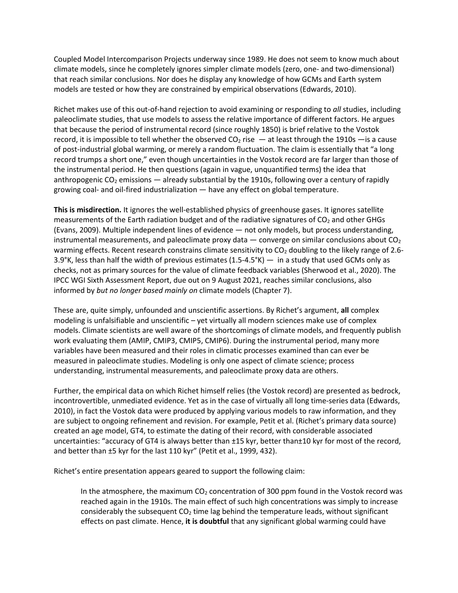Coupled Model Intercomparison Projects underway since 1989. He does not seem to know much about climate models, since he completely ignores simpler climate models (zero, one- and two-dimensional) that reach similar conclusions. Nor does he display any knowledge of how GCMs and Earth system models are tested or how they are constrained by empirical observations (Edwards, 2010).

Richet makes use of this out-of-hand rejection to avoid examining or responding to *all* studies, including paleoclimate studies, that use models to assess the relative importance of different factors. He argues that because the period of instrumental record (since roughly 1850) is brief relative to the Vostok record, it is impossible to tell whether the observed  $CO<sub>2</sub>$  rise  $-$  at least through the 1910s  $-$  is a cause of post-industrial global warming, or merely a random fluctuation. The claim is essentially that "a long record trumps a short one," even though uncertainties in the Vostok record are far larger than those of the instrumental period. He then questions (again in vague, unquantified terms) the idea that anthropogenic  $CO<sub>2</sub>$  emissions — already substantial by the 1910s, following over a century of rapidly growing coal- and oil-fired industrialization — have any effect on global temperature.

**This is misdirection.** It ignores the well-established physics of greenhouse gases. It ignores satellite measurements of the Earth radiation budget and of the radiative signatures of  $CO<sub>2</sub>$  and other GHGs (Evans, 2009). Multiple independent lines of evidence — not only models, but process understanding, instrumental measurements, and paleoclimate proxy data  $-$  converge on similar conclusions about  $CO<sub>2</sub>$ warming effects. Recent research constrains climate sensitivity to  $CO<sub>2</sub>$  doubling to the likely range of 2.6-3.9°K, less than half the width of previous estimates (1.5-4.5°K) — in a study that used GCMs only as checks, not as primary sources for the value of climate feedback variables (Sherwood et al., 2020). The IPCC WGI Sixth Assessment Report, due out on 9 August 2021, reaches similar conclusions, also informed by *but no longer based mainly on* climate models (Chapter 7).

These are, quite simply, unfounded and unscientific assertions. By Richet's argument, **all** complex modeling is unfalsifiable and unscientific – yet virtually all modern sciences make use of complex models. Climate scientists are well aware of the shortcomings of climate models, and frequently publish work evaluating them (AMIP, CMIP3, CMIP5, CMIP6). During the instrumental period, many more variables have been measured and their roles in climatic processes examined than can ever be measured in paleoclimate studies. Modeling is only one aspect of climate science; process understanding, instrumental measurements, and paleoclimate proxy data are others.

Further, the empirical data on which Richet himself relies (the Vostok record) are presented as bedrock, incontrovertible, unmediated evidence. Yet as in the case of virtually all long time-series data (Edwards, 2010), in fact the Vostok data were produced by applying various models to raw information, and they are subject to ongoing refinement and revision. For example, Petit et al. (Richet's primary data source) created an age model, GT4, to estimate the dating of their record, with considerable associated uncertainties: "accuracy of GT4 is always better than ±15 kyr, better than±10 kyr for most of the record, and better than ±5 kyr for the last 110 kyr" (Petit et al., 1999, 432).

Richet's entire presentation appears geared to support the following claim:

In the atmosphere, the maximum  $CO<sub>2</sub>$  concentration of 300 ppm found in the Vostok record was reached again in the 1910s. The main effect of such high concentrations was simply to increase considerably the subsequent  $CO<sub>2</sub>$  time lag behind the temperature leads, without significant effects on past climate. Hence, **it is doubtful** that any significant global warming could have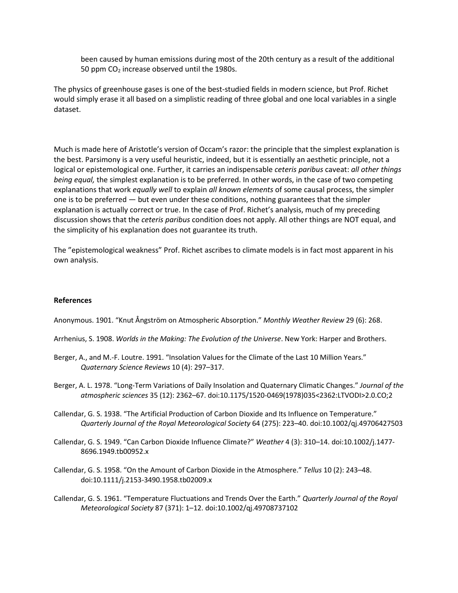been caused by human emissions during most of the 20th century as a result of the additional 50 ppm  $CO<sub>2</sub>$  increase observed until the 1980s.

The physics of greenhouse gases is one of the best-studied fields in modern science, but Prof. Richet would simply erase it all based on a simplistic reading of three global and one local variables in a single dataset.

Much is made here of Aristotle's version of Occam's razor: the principle that the simplest explanation is the best. Parsimony is a very useful heuristic, indeed, but it is essentially an aesthetic principle, not a logical or epistemological one. Further, it carries an indispensable *ceteris paribus* caveat: *all other things being equal,* the simplest explanation is to be preferred. In other words, in the case of two competing explanations that work *equally well* to explain *all known elements* of some causal process, the simpler one is to be preferred — but even under these conditions, nothing guarantees that the simpler explanation is actually correct or true. In the case of Prof. Richet's analysis, much of my preceding discussion shows that the *ceteris paribus* condition does not apply. All other things are NOT equal, and the simplicity of his explanation does not guarantee its truth.

The "epistemological weakness" Prof. Richet ascribes to climate models is in fact most apparent in his own analysis.

#### **References**

Anonymous. 1901. "Knut Ångström on Atmospheric Absorption." *Monthly Weather Review* 29 (6): 268.

Arrhenius, S. 1908. *Worlds in the Making: The Evolution of the Universe*. New York: Harper and Brothers.

- Berger, A., and M.-F. Loutre. 1991. "Insolation Values for the Climate of the Last 10 Million Years." *Quaternary Science Reviews* 10 (4): 297–317.
- Berger, A. L. 1978. "Long-Term Variations of Daily Insolation and Quaternary Climatic Changes." *Journal of the atmospheric sciences* 35 (12): 2362–67. doi:10.1175/1520-0469(1978)035<2362:LTVODI>2.0.CO;2
- Callendar, G. S. 1938. "The Artificial Production of Carbon Dioxide and Its Influence on Temperature." *Quarterly Journal of the Royal Meteorological Society* 64 (275): 223–40. doi:10.1002/qj.49706427503
- Callendar, G. S. 1949. "Can Carbon Dioxide Influence Climate?" *Weather* 4 (3): 310–14. doi:10.1002/j.1477- 8696.1949.tb00952.x
- Callendar, G. S. 1958. "On the Amount of Carbon Dioxide in the Atmosphere." *Tellus* 10 (2): 243–48. doi:10.1111/j.2153-3490.1958.tb02009.x
- Callendar, G. S. 1961. "Temperature Fluctuations and Trends Over the Earth." *Quarterly Journal of the Royal Meteorological Society* 87 (371): 1–12. doi:10.1002/qj.49708737102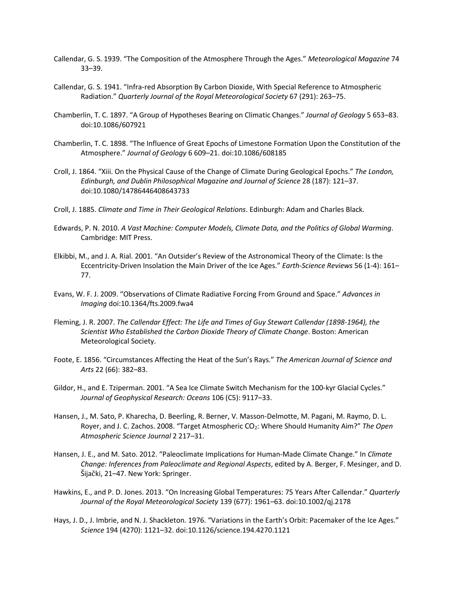- Callendar, G. S. 1939. "The Composition of the Atmosphere Through the Ages." *Meteorological Magazine* 74 33–39.
- Callendar, G. S. 1941. "Infra‐red Absorption By Carbon Dioxide, With Special Reference to Atmospheric Radiation." *Quarterly Journal of the Royal Meteorological Society* 67 (291): 263–75.
- Chamberlin, T. C. 1897. "A Group of Hypotheses Bearing on Climatic Changes." *Journal of Geology* 5 653–83. doi:10.1086/607921
- Chamberlin, T. C. 1898. "The Influence of Great Epochs of Limestone Formation Upon the Constitution of the Atmosphere." *Journal of Geology* 6 609–21. doi:10.1086/608185
- Croll, J. 1864. "Xiii. On the Physical Cause of the Change of Climate During Geological Epochs." *The London, Edinburgh, and Dublin Philosophical Magazine and Journal of Science* 28 (187): 121–37. doi:10.1080/14786446408643733
- Croll, J. 1885. *Climate and Time in Their Geological Relations*. Edinburgh: Adam and Charles Black.
- Edwards, P. N. 2010. *A Vast Machine: Computer Models, Climate Data, and the Politics of Global Warming*. Cambridge: MIT Press.
- Elkibbi, M., and J. A. Rial. 2001. "An Outsider's Review of the Astronomical Theory of the Climate: Is the Eccentricity-Driven Insolation the Main Driver of the Ice Ages." *Earth-Science Reviews* 56 (1-4): 161– 77.
- Evans, W. F. J. 2009. "Observations of Climate Radiative Forcing From Ground and Space." *Advances in Imaging* doi:10.1364/fts.2009.fwa4
- Fleming, J. R. 2007. *The Callendar Effect: The Life and Times of Guy Stewart Callendar (1898-1964), the Scientist Who Established the Carbon Dioxide Theory of Climate Change*. Boston: American Meteorological Society.
- Foote, E. 1856. "Circumstances Affecting the Heat of the Sun's Rays." *The American Journal of Science and Arts* 22 (66): 382–83.
- Gildor, H., and E. Tziperman. 2001. "A Sea Ice Climate Switch Mechanism for the 100‐kyr Glacial Cycles." *Journal of Geophysical Research: Oceans* 106 (C5): 9117–33.
- Hansen, J., M. Sato, P. Kharecha, D. Beerling, R. Berner, V. Masson-Delmotte, M. Pagani, M. Raymo, D. L. Royer, and J. C. Zachos. 2008. "Target Atmospheric CO2: Where Should Humanity Aim?" *The Open Atmospheric Science Journal* 2 217–31.
- Hansen, J. E., and M. Sato. 2012. "Paleoclimate Implications for Human-Made Climate Change." In *Climate Change: Inferences from Paleoclimate and Regional Aspects*, edited by A. Berger, F. Mesinger, and D. Šijački, 21–47. New York: Springer.
- Hawkins, E., and P. D. Jones. 2013. "On Increasing Global Temperatures: 75 Years After Callendar." *Quarterly Journal of the Royal Meteorological Society* 139 (677): 1961–63. doi:10.1002/qj.2178
- Hays, J. D., J. Imbrie, and N. J. Shackleton. 1976. "Variations in the Earth's Orbit: Pacemaker of the Ice Ages." *Science* 194 (4270): 1121–32. doi:10.1126/science.194.4270.1121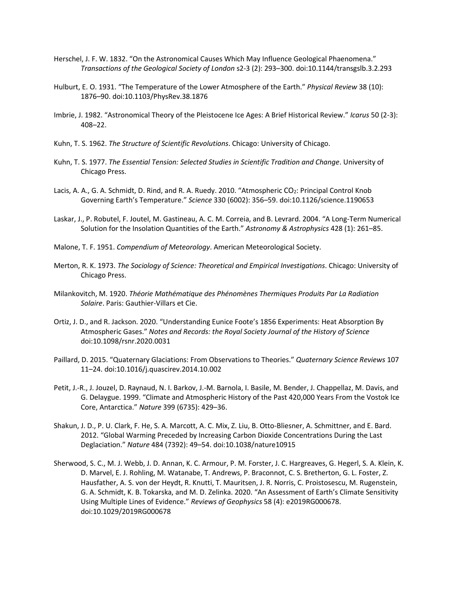- Herschel, J. F. W. 1832. "On the Astronomical Causes Which May Influence Geological Phaenomena." *Transactions of the Geological Society of London* s2-3 (2): 293–300. doi:10.1144/transgslb.3.2.293
- Hulburt, E. O. 1931. "The Temperature of the Lower Atmosphere of the Earth." *Physical Review* 38 (10): 1876–90. doi:10.1103/PhysRev.38.1876
- Imbrie, J. 1982. "Astronomical Theory of the Pleistocene Ice Ages: A Brief Historical Review." *Icarus* 50 (2-3): 408–22.
- Kuhn, T. S. 1962. *The Structure of Scientific Revolutions*. Chicago: University of Chicago.
- Kuhn, T. S. 1977. *The Essential Tension: Selected Studies in Scientific Tradition and Change*. University of Chicago Press.
- Lacis, A. A., G. A. Schmidt, D. Rind, and R. A. Ruedy. 2010. "Atmospheric CO<sub>2</sub>: Principal Control Knob Governing Earth's Temperature." *Science* 330 (6002): 356–59. doi:10.1126/science.1190653
- Laskar, J., P. Robutel, F. Joutel, M. Gastineau, A. C. M. Correia, and B. Levrard. 2004. "A Long-Term Numerical Solution for the Insolation Quantities of the Earth." *Astronomy & Astrophysics* 428 (1): 261–85.
- Malone, T. F. 1951. *Compendium of Meteorology*. American Meteorological Society.
- Merton, R. K. 1973. *The Sociology of Science: Theoretical and Empirical Investigations*. Chicago: University of Chicago Press.
- Milankovitch, M. 1920. *Théorie Mathématique des Phénomènes Thermiques Produits Par La Radiation Solaire*. Paris: Gauthier-Villars et Cie.
- Ortiz, J. D., and R. Jackson. 2020. "Understanding Eunice Foote's 1856 Experiments: Heat Absorption By Atmospheric Gases." *Notes and Records: the Royal Society Journal of the History of Science* doi:10.1098/rsnr.2020.0031
- Paillard, D. 2015. "Quaternary Glaciations: From Observations to Theories." *Quaternary Science Reviews* 107 11–24. doi:10.1016/j.quascirev.2014.10.002
- Petit, J.-R., J. Jouzel, D. Raynaud, N. I. Barkov, J.-M. Barnola, I. Basile, M. Bender, J. Chappellaz, M. Davis, and G. Delaygue. 1999. "Climate and Atmospheric History of the Past 420,000 Years From the Vostok Ice Core, Antarctica." *Nature* 399 (6735): 429–36.
- Shakun, J. D., P. U. Clark, F. He, S. A. Marcott, A. C. Mix, Z. Liu, B. Otto-Bliesner, A. Schmittner, and E. Bard. 2012. "Global Warming Preceded by Increasing Carbon Dioxide Concentrations During the Last Deglaciation." *Nature* 484 (7392): 49–54. doi:10.1038/nature10915
- Sherwood, S. C., M. J. Webb, J. D. Annan, K. C. Armour, P. M. Forster, J. C. Hargreaves, G. Hegerl, S. A. Klein, K. D. Marvel, E. J. Rohling, M. Watanabe, T. Andrews, P. Braconnot, C. S. Bretherton, G. L. Foster, Z. Hausfather, A. S. von der Heydt, R. Knutti, T. Mauritsen, J. R. Norris, C. Proistosescu, M. Rugenstein, G. A. Schmidt, K. B. Tokarska, and M. D. Zelinka. 2020. "An Assessment of Earth's Climate Sensitivity Using Multiple Lines of Evidence." *Reviews of Geophysics* 58 (4): e2019RG000678. doi:10.1029/2019RG000678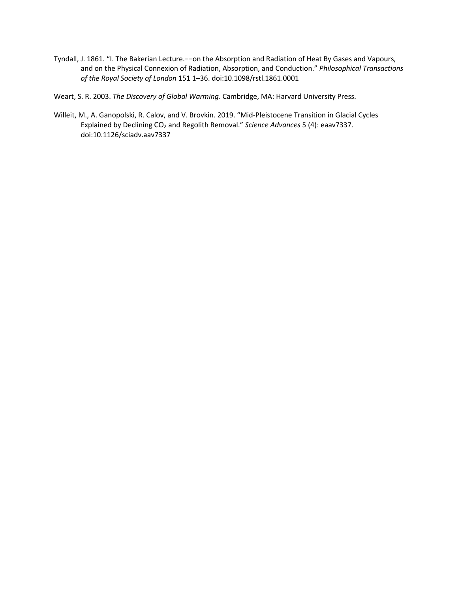Tyndall, J. 1861. "I. The Bakerian Lecture.−−on the Absorption and Radiation of Heat By Gases and Vapours, and on the Physical Connexion of Radiation, Absorption, and Conduction." *Philosophical Transactions of the Royal Society of London* 151 1–36. doi:10.1098/rstl.1861.0001

Weart, S. R. 2003. *The Discovery of Global Warming*. Cambridge, MA: Harvard University Press.

Willeit, M., A. Ganopolski, R. Calov, and V. Brovkin. 2019. "Mid-Pleistocene Transition in Glacial Cycles Explained by Declining CO2 and Regolith Removal." *Science Advances* 5 (4): eaav7337. doi:10.1126/sciadv.aav7337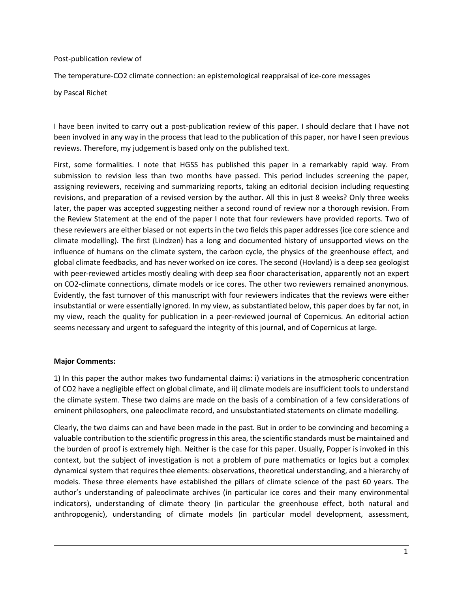#### Post-publication review of

The temperature-CO2 climate connection: an epistemological reappraisal of ice-core messages

by Pascal Richet

I have been invited to carry out a post-publication review of this paper. I should declare that I have not been involved in any way in the process that lead to the publication of this paper, nor have I seen previous reviews. Therefore, my judgement is based only on the published text.

First, some formalities. I note that HGSS has published this paper in a remarkably rapid way. From submission to revision less than two months have passed. This period includes screening the paper, assigning reviewers, receiving and summarizing reports, taking an editorial decision including requesting revisions, and preparation of a revised version by the author. All this in just 8 weeks? Only three weeks later, the paper was accepted suggesting neither a second round of review nor a thorough revision. From the Review Statement at the end of the paper I note that four reviewers have provided reports. Two of these reviewers are either biased or not experts in the two fields this paper addresses (ice core science and climate modelling). The first (Lindzen) has a long and documented history of unsupported views on the influence of humans on the climate system, the carbon cycle, the physics of the greenhouse effect, and global climate feedbacks, and has never worked on ice cores. The second (Hovland) is a deep sea geologist with peer-reviewed articles mostly dealing with deep sea floor characterisation, apparently not an expert on CO2-climate connections, climate models or ice cores. The other two reviewers remained anonymous. Evidently, the fast turnover of this manuscript with four reviewers indicates that the reviews were either insubstantial or were essentially ignored. In my view, as substantiated below, this paper does by far not, in my view, reach the quality for publication in a peer-reviewed journal of Copernicus. An editorial action seems necessary and urgent to safeguard the integrity of this journal, and of Copernicus at large.

#### **Major Comments:**

1) In this paper the author makes two fundamental claims: i) variations in the atmospheric concentration of CO2 have a negligible effect on global climate, and ii) climate models are insufficient tools to understand the climate system. These two claims are made on the basis of a combination of a few considerations of eminent philosophers, one paleoclimate record, and unsubstantiated statements on climate modelling.

Clearly, the two claims can and have been made in the past. But in order to be convincing and becoming a valuable contribution to the scientific progressin this area, the scientific standards must be maintained and the burden of proof is extremely high. Neither is the case for this paper. Usually, Popper is invoked in this context, but the subject of investigation is not a problem of pure mathematics or logics but a complex dynamical system that requires thee elements: observations, theoretical understanding, and a hierarchy of models. These three elements have established the pillars of climate science of the past 60 years. The author's understanding of paleoclimate archives (in particular ice cores and their many environmental indicators), understanding of climate theory (in particular the greenhouse effect, both natural and anthropogenic), understanding of climate models (in particular model development, assessment,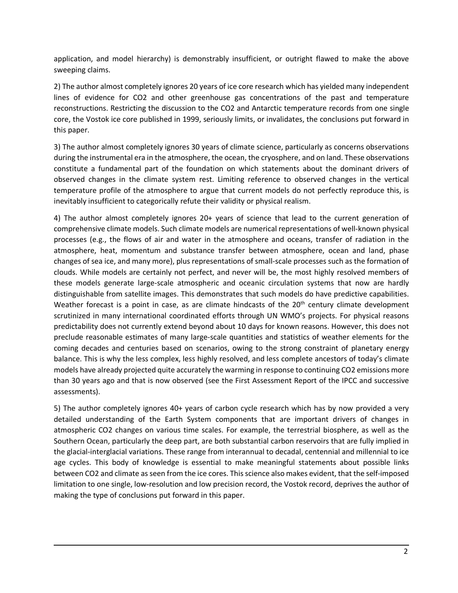application, and model hierarchy) is demonstrably insufficient, or outright flawed to make the above sweeping claims.

2) The author almost completely ignores 20 years of ice core research which has yielded many independent lines of evidence for CO2 and other greenhouse gas concentrations of the past and temperature reconstructions. Restricting the discussion to the CO2 and Antarctic temperature records from one single core, the Vostok ice core published in 1999, seriously limits, or invalidates, the conclusions put forward in this paper.

3) The author almost completely ignores 30 years of climate science, particularly as concerns observations during the instrumental era in the atmosphere, the ocean, the cryosphere, and on land. These observations constitute a fundamental part of the foundation on which statements about the dominant drivers of observed changes in the climate system rest. Limiting reference to observed changes in the vertical temperature profile of the atmosphere to argue that current models do not perfectly reproduce this, is inevitably insufficient to categorically refute their validity or physical realism.

4) The author almost completely ignores 20+ years of science that lead to the current generation of comprehensive climate models. Such climate models are numerical representations of well-known physical processes (e.g., the flows of air and water in the atmosphere and oceans, transfer of radiation in the atmosphere, heat, momentum and substance transfer between atmosphere, ocean and land, phase changes of sea ice, and many more), plus representations of small-scale processes such as the formation of clouds. While models are certainly not perfect, and never will be, the most highly resolved members of these models generate large-scale atmospheric and oceanic circulation systems that now are hardly distinguishable from satellite images. This demonstrates that such models do have predictive capabilities. Weather forecast is a point in case, as are climate hindcasts of the 20<sup>th</sup> century climate development scrutinized in many international coordinated efforts through UN WMO's projects. For physical reasons predictability does not currently extend beyond about 10 days for known reasons. However, this does not preclude reasonable estimates of many large-scale quantities and statistics of weather elements for the coming decades and centuries based on scenarios, owing to the strong constraint of planetary energy balance. This is why the less complex, less highly resolved, and less complete ancestors of today's climate models have already projected quite accurately the warming in response to continuing CO2 emissions more than 30 years ago and that is now observed (see the First Assessment Report of the IPCC and successive assessments).

5) The author completely ignores 40+ years of carbon cycle research which has by now provided a very detailed understanding of the Earth System components that are important drivers of changes in atmospheric CO2 changes on various time scales. For example, the terrestrial biosphere, as well as the Southern Ocean, particularly the deep part, are both substantial carbon reservoirs that are fully implied in the glacial-interglacial variations. These range from interannual to decadal, centennial and millennial to ice age cycles. This body of knowledge is essential to make meaningful statements about possible links between CO2 and climate as seen from the ice cores. This science also makes evident, that the self-imposed limitation to one single, low-resolution and low precision record, the Vostok record, deprives the author of making the type of conclusions put forward in this paper.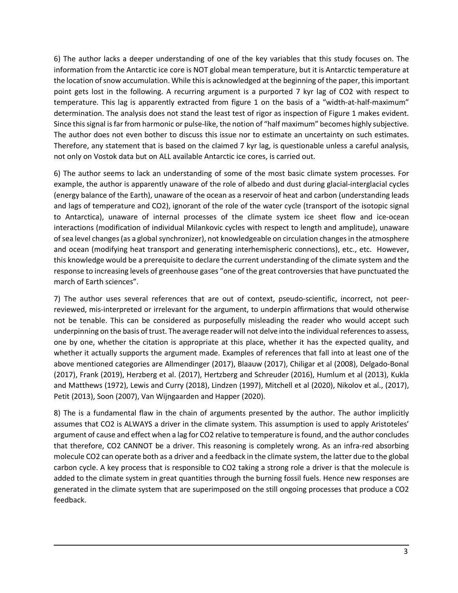6) The author lacks a deeper understanding of one of the key variables that this study focuses on. The information from the Antarctic ice core is NOT global mean temperature, but it is Antarctic temperature at the location of snow accumulation. While this is acknowledged at the beginning of the paper, this important point gets lost in the following. A recurring argument is a purported 7 kyr lag of CO2 with respect to temperature. This lag is apparently extracted from figure 1 on the basis of a "width-at-half-maximum" determination. The analysis does not stand the least test of rigor as inspection of Figure 1 makes evident. Since this signal is far from harmonic or pulse-like, the notion of "half maximum" becomes highly subjective. The author does not even bother to discuss this issue nor to estimate an uncertainty on such estimates. Therefore, any statement that is based on the claimed 7 kyr lag, is questionable unless a careful analysis, not only on Vostok data but on ALL available Antarctic ice cores, is carried out.

6) The author seems to lack an understanding of some of the most basic climate system processes. For example, the author is apparently unaware of the role of albedo and dust during glacial-interglacial cycles (energy balance of the Earth), unaware of the ocean as a reservoir of heat and carbon (understanding leads and lags of temperature and CO2), ignorant of the role of the water cycle (transport of the isotopic signal to Antarctica), unaware of internal processes of the climate system ice sheet flow and ice-ocean interactions (modification of individual Milankovic cycles with respect to length and amplitude), unaware of sea level changes (as a global synchronizer), not knowledgeable on circulation changes in the atmosphere and ocean (modifying heat transport and generating interhemispheric connections), etc., etc. However, this knowledge would be a prerequisite to declare the current understanding of the climate system and the response to increasing levels of greenhouse gases "one of the great controversies that have punctuated the march of Earth sciences".

7) The author uses several references that are out of context, pseudo-scientific, incorrect, not peerreviewed, mis-interpreted or irrelevant for the argument, to underpin affirmations that would otherwise not be tenable. This can be considered as purposefully misleading the reader who would accept such underpinning on the basis of trust. The average reader will not delve into the individual references to assess, one by one, whether the citation is appropriate at this place, whether it has the expected quality, and whether it actually supports the argument made. Examples of references that fall into at least one of the above mentioned categories are Allmendinger (2017), Blaauw (2017), Chiligar et al (2008), Delgado-Bonal (2017), Frank (2019), Herzberg et al. (2017), Hertzberg and Schreuder (2016), Humlum et al (2013), Kukla and Matthews (1972), Lewis and Curry (2018), Lindzen (1997), Mitchell et al (2020), Nikolov et al., (2017), Petit (2013), Soon (2007), Van Wijngaarden and Happer (2020).

8) The is a fundamental flaw in the chain of arguments presented by the author. The author implicitly assumes that CO2 is ALWAYS a driver in the climate system. This assumption is used to apply Aristoteles' argument of cause and effect when a lag for CO2 relative to temperature is found, and the author concludes that therefore, CO2 CANNOT be a driver. This reasoning is completely wrong. As an infra-red absorbing molecule CO2 can operate both as a driver and a feedback in the climate system, the latter due to the global carbon cycle. A key process that is responsible to CO2 taking a strong role a driver is that the molecule is added to the climate system in great quantities through the burning fossil fuels. Hence new responses are generated in the climate system that are superimposed on the still ongoing processes that produce a CO2 feedback.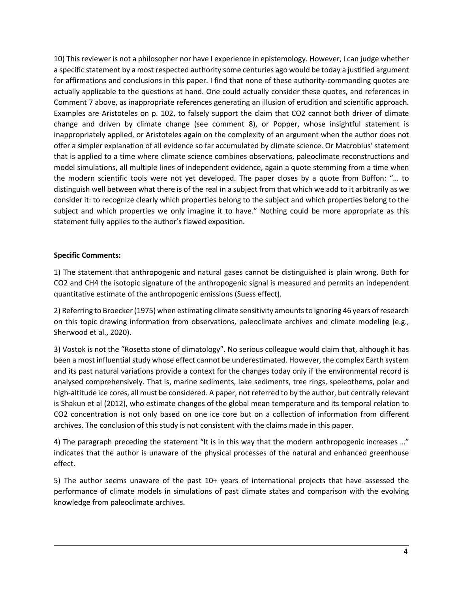10) This reviewer is not a philosopher nor have I experience in epistemology. However, I can judge whether a specific statement by a most respected authority some centuries ago would be today a justified argument for affirmations and conclusions in this paper. I find that none of these authority-commanding quotes are actually applicable to the questions at hand. One could actually consider these quotes, and references in Comment 7 above, as inappropriate references generating an illusion of erudition and scientific approach. Examples are Aristoteles on p. 102, to falsely support the claim that CO2 cannot both driver of climate change and driven by climate change (see comment 8), or Popper, whose insightful statement is inappropriately applied, or Aristoteles again on the complexity of an argument when the author does not offer a simpler explanation of all evidence so far accumulated by climate science. Or Macrobius' statement that is applied to a time where climate science combines observations, paleoclimate reconstructions and model simulations, all multiple lines of independent evidence, again a quote stemming from a time when the modern scientific tools were not yet developed. The paper closes by a quote from Buffon: "… to distinguish well between what there is of the real in a subject from that which we add to it arbitrarily as we consider it: to recognize clearly which properties belong to the subject and which properties belong to the subject and which properties we only imagine it to have." Nothing could be more appropriate as this statement fully applies to the author's flawed exposition.

### **Specific Comments:**

1) The statement that anthropogenic and natural gases cannot be distinguished is plain wrong. Both for CO2 and CH4 the isotopic signature of the anthropogenic signal is measured and permits an independent quantitative estimate of the anthropogenic emissions (Suess effect).

2) Referring to Broecker (1975) when estimating climate sensitivity amounts to ignoring 46 years of research on this topic drawing information from observations, paleoclimate archives and climate modeling (e.g., Sherwood et al., 2020).

3) Vostok is not the "Rosetta stone of climatology". No serious colleague would claim that, although it has been a most influential study whose effect cannot be underestimated. However, the complex Earth system and its past natural variations provide a context for the changes today only if the environmental record is analysed comprehensively. That is, marine sediments, lake sediments, tree rings, speleothems, polar and high-altitude ice cores, all must be considered. A paper, not referred to by the author, but centrally relevant is Shakun et al (2012), who estimate changes of the global mean temperature and its temporal relation to CO2 concentration is not only based on one ice core but on a collection of information from different archives. The conclusion of this study is not consistent with the claims made in this paper.

4) The paragraph preceding the statement "It is in this way that the modern anthropogenic increases ..." indicates that the author is unaware of the physical processes of the natural and enhanced greenhouse effect.

5) The author seems unaware of the past 10+ years of international projects that have assessed the performance of climate models in simulations of past climate states and comparison with the evolving knowledge from paleoclimate archives.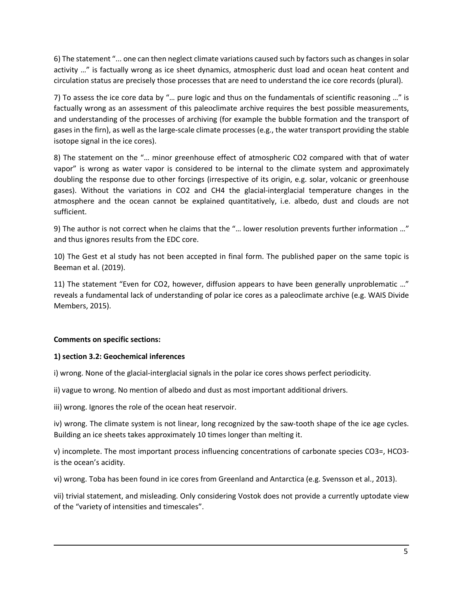6) The statement "... one can then neglect climate variations caused such by factors such as changes in solar activity …" is factually wrong as ice sheet dynamics, atmospheric dust load and ocean heat content and circulation status are precisely those processes that are need to understand the ice core records (plural).

7) To assess the ice core data by "… pure logic and thus on the fundamentals of scientific reasoning …" is factually wrong as an assessment of this paleoclimate archive requires the best possible measurements, and understanding of the processes of archiving (for example the bubble formation and the transport of gases in the firn), as well as the large-scale climate processes (e.g., the water transport providing the stable isotope signal in the ice cores).

8) The statement on the "… minor greenhouse effect of atmospheric CO2 compared with that of water vapor" is wrong as water vapor is considered to be internal to the climate system and approximately doubling the response due to other forcings (irrespective of its origin, e.g. solar, volcanic or greenhouse gases). Without the variations in CO2 and CH4 the glacial-interglacial temperature changes in the atmosphere and the ocean cannot be explained quantitatively, i.e. albedo, dust and clouds are not sufficient.

9) The author is not correct when he claims that the "… lower resolution prevents further information …" and thus ignores results from the EDC core.

10) The Gest et al study has not been accepted in final form. The published paper on the same topic is Beeman et al. (2019).

11) The statement "Even for CO2, however, diffusion appears to have been generally unproblematic …" reveals a fundamental lack of understanding of polar ice cores as a paleoclimate archive (e.g. WAIS Divide Members, 2015).

### **Comments on specific sections:**

### **1) section 3.2: Geochemical inferences**

i) wrong. None of the glacial-interglacial signals in the polar ice cores shows perfect periodicity.

ii) vague to wrong. No mention of albedo and dust as most important additional drivers.

iii) wrong. Ignores the role of the ocean heat reservoir.

iv) wrong. The climate system is not linear, long recognized by the saw-tooth shape of the ice age cycles. Building an ice sheets takes approximately 10 times longer than melting it.

v) incomplete. The most important process influencing concentrations of carbonate species CO3=, HCO3 is the ocean's acidity.

vi) wrong. Toba has been found in ice cores from Greenland and Antarctica (e.g. Svensson et al., 2013).

vii) trivial statement, and misleading. Only considering Vostok does not provide a currently uptodate view of the "variety of intensities and timescales".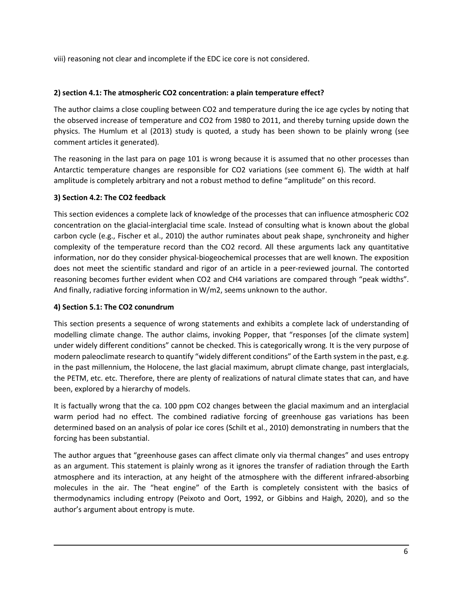viii) reasoning not clear and incomplete if the EDC ice core is not considered.

### **2) section 4.1: The atmospheric CO2 concentration: a plain temperature effect?**

The author claims a close coupling between CO2 and temperature during the ice age cycles by noting that the observed increase of temperature and CO2 from 1980 to 2011, and thereby turning upside down the physics. The Humlum et al (2013) study is quoted, a study has been shown to be plainly wrong (see comment articles it generated).

The reasoning in the last para on page 101 is wrong because it is assumed that no other processes than Antarctic temperature changes are responsible for CO2 variations (see comment 6). The width at half amplitude is completely arbitrary and not a robust method to define "amplitude" on this record.

### **3) Section 4.2: The CO2 feedback**

This section evidences a complete lack of knowledge of the processes that can influence atmospheric CO2 concentration on the glacial-interglacial time scale. Instead of consulting what is known about the global carbon cycle (e.g., Fischer et al., 2010) the author ruminates about peak shape, synchroneity and higher complexity of the temperature record than the CO2 record. All these arguments lack any quantitative information, nor do they consider physical-biogeochemical processes that are well known. The exposition does not meet the scientific standard and rigor of an article in a peer-reviewed journal. The contorted reasoning becomes further evident when CO2 and CH4 variations are compared through "peak widths". And finally, radiative forcing information in W/m2, seems unknown to the author.

## **4) Section 5.1: The CO2 conundrum**

This section presents a sequence of wrong statements and exhibits a complete lack of understanding of modelling climate change. The author claims, invoking Popper, that "responses [of the climate system] under widely different conditions" cannot be checked. This is categorically wrong. It is the very purpose of modern paleoclimate research to quantify "widely different conditions" of the Earth system in the past, e.g. in the past millennium, the Holocene, the last glacial maximum, abrupt climate change, past interglacials, the PETM, etc. etc. Therefore, there are plenty of realizations of natural climate states that can, and have been, explored by a hierarchy of models.

It is factually wrong that the ca. 100 ppm CO2 changes between the glacial maximum and an interglacial warm period had no effect. The combined radiative forcing of greenhouse gas variations has been determined based on an analysis of polar ice cores (Schilt et al., 2010) demonstrating in numbers that the forcing has been substantial.

The author argues that "greenhouse gases can affect climate only via thermal changes" and uses entropy as an argument. This statement is plainly wrong as it ignores the transfer of radiation through the Earth atmosphere and its interaction, at any height of the atmosphere with the different infrared-absorbing molecules in the air. The "heat engine" of the Earth is completely consistent with the basics of thermodynamics including entropy (Peixoto and Oort, 1992, or Gibbins and Haigh, 2020), and so the author's argument about entropy is mute.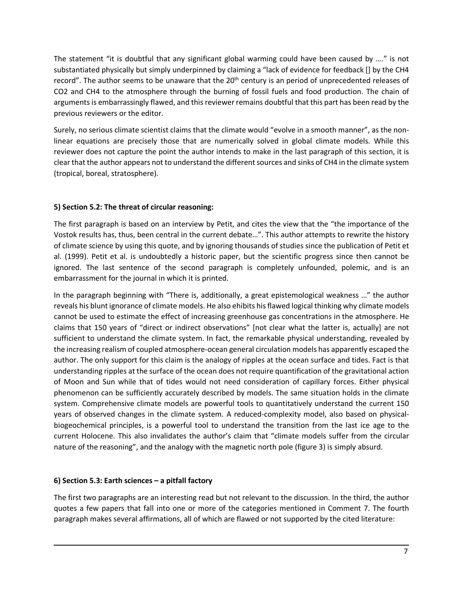The statement "it is doubtful that any significant global warming could have been caused by …." is not substantiated physically but simply underpinned by claiming a "lack of evidence for feedback [] by the CH4 record". The author seems to be unaware that the 20<sup>th</sup> century is an period of unprecedented releases of CO2 and CH4 to the atmosphere through the burning of fossil fuels and food production. The chain of arguments is embarrassingly flawed, and this reviewer remains doubtful that this part has been read by the previous reviewers or the editor.

Surely, no serious climate scientist claims that the climate would "evolve in a smooth manner", as the nonlinear equations are precisely those that are numerically solved in global climate models. While this reviewer does not capture the point the author intends to make in the last paragraph of this section, it is clear that the author appears not to understand the different sources and sinks of CH4 in the climate system (tropical, boreal, stratosphere).

### **5) Section 5.2: The threat of circular reasoning:**

The first paragraph is based on an interview by Petit, and cites the view that the "the importance of the Vostok results has, thus, been central in the current debate…". This author attempts to rewrite the history of climate science by using this quote, and by ignoring thousands of studies since the publication of Petit et al. (1999). Petit et al. is undoubtedly a historic paper, but the scientific progress since then cannot be ignored. The last sentence of the second paragraph is completely unfounded, polemic, and is an embarrassment for the journal in which it is printed.

In the paragraph beginning with "There is, additionally, a great epistemological weakness …" the author reveals his blunt ignorance of climate models. He also ehibits his flawed logical thinking why climate models cannot be used to estimate the effect of increasing greenhouse gas concentrations in the atmosphere. He claims that 150 years of "direct or indirect observations" [not clear what the latter is, actually] are not sufficient to understand the climate system. In fact, the remarkable physical understanding, revealed by the increasing realism of coupled atmosphere-ocean general circulation models has apparently escaped the author. The only support for this claim is the analogy of ripples at the ocean surface and tides. Fact is that understanding ripples at the surface of the ocean does not require quantification of the gravitational action of Moon and Sun while that of tides would not need consideration of capillary forces. Either physical phenomenon can be sufficiently accurately described by models. The same situation holds in the climate system. Comprehensive climate models are powerful tools to quantitatively understand the current 150 years of observed changes in the climate system. A reduced-complexity model, also based on physicalbiogeochemical principles, is a powerful tool to understand the transition from the last ice age to the current Holocene. This also invalidates the author's claim that "climate models suffer from the circular nature of the reasoning", and the analogy with the magnetic north pole (figure 3) is simply absurd.

## **6) Section 5.3: Earth sciences – a pitfall factory**

The first two paragraphs are an interesting read but not relevant to the discussion. In the third, the author quotes a few papers that fall into one or more of the categories mentioned in Comment 7. The fourth paragraph makes several affirmations, all of which are flawed or not supported by the cited literature: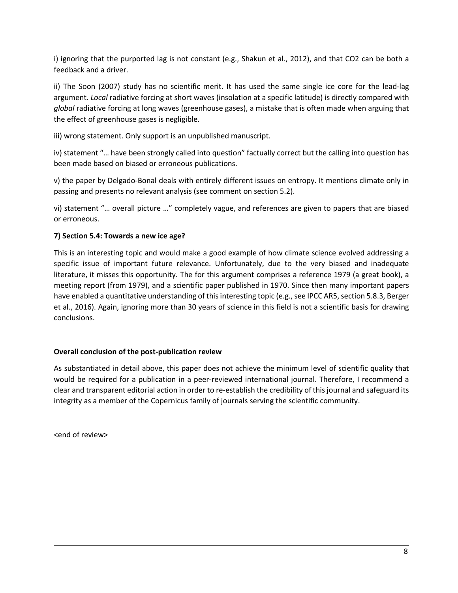i) ignoring that the purported lag is not constant (e.g., Shakun et al., 2012), and that CO2 can be both a feedback and a driver.

ii) The Soon (2007) study has no scientific merit. It has used the same single ice core for the lead-lag argument. *Local* radiative forcing at short waves (insolation at a specific latitude) is directly compared with *global* radiative forcing at long waves (greenhouse gases), a mistake that is often made when arguing that the effect of greenhouse gases is negligible.

iii) wrong statement. Only support is an unpublished manuscript.

iv) statement "… have been strongly called into question" factually correct but the calling into question has been made based on biased or erroneous publications.

v) the paper by Delgado-Bonal deals with entirely different issues on entropy. It mentions climate only in passing and presents no relevant analysis (see comment on section 5.2).

vi) statement "… overall picture …" completely vague, and references are given to papers that are biased or erroneous.

### **7) Section 5.4: Towards a new ice age?**

This is an interesting topic and would make a good example of how climate science evolved addressing a specific issue of important future relevance. Unfortunately, due to the very biased and inadequate literature, it misses this opportunity. The for this argument comprises a reference 1979 (a great book), a meeting report (from 1979), and a scientific paper published in 1970. Since then many important papers have enabled a quantitative understanding of this interesting topic (e.g., see IPCC AR5, section 5.8.3, Berger et al., 2016). Again, ignoring more than 30 years of science in this field is not a scientific basis for drawing conclusions.

#### **Overall conclusion of the post-publication review**

As substantiated in detail above, this paper does not achieve the minimum level of scientific quality that would be required for a publication in a peer-reviewed international journal. Therefore, I recommend a clear and transparent editorial action in order to re-establish the credibility of this journal and safeguard its integrity as a member of the Copernicus family of journals serving the scientific community.

<end of review>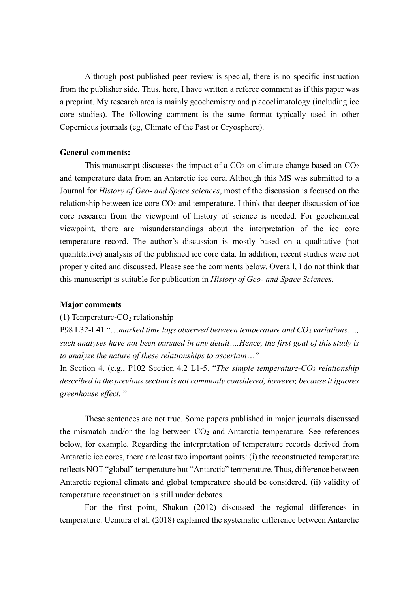Although post-published peer review is special, there is no specific instruction from the publisher side. Thus, here, I have written a referee comment as if this paper was a preprint. My research area is mainly geochemistry and plaeoclimatology (including ice core studies). The following comment is the same format typically used in other Copernicus journals (eg, Climate of the Past or Cryosphere).

#### **General comments:**

This manuscript discusses the impact of a  $CO<sub>2</sub>$  on climate change based on  $CO<sub>2</sub>$ and temperature data from an Antarctic ice core. Although this MS was submitted to a Journal for *History of Geo- and Space sciences*, most of the discussion is focused on the relationship between ice core  $CO<sub>2</sub>$  and temperature. I think that deeper discussion of ice core research from the viewpoint of history of science is needed. For geochemical viewpoint, there are misunderstandings about the interpretation of the ice core temperature record. The author's discussion is mostly based on a qualitative (not quantitative) analysis of the published ice core data. In addition, recent studies were not properly cited and discussed. Please see the comments below. Overall, I do not think that this manuscript is suitable for publication in *History of Geo- and Space Sciences.*

#### **Major comments**

#### (1) Temperature- $CO<sub>2</sub>$  relationship

P98 L32-L41 "…*marked time lags observed between temperature and CO2 variations…., such analyses have not been pursued in any detail….Hence, the first goal of this study is to analyze the nature of these relationships to ascertain*…"

In Section 4. (e.g., P102 Section 4.2 L1-5. "*The simple temperature-CO2 relationship described in the previous section is not commonly considered, however, because it ignores greenhouse effect.* "

These sentences are not true. Some papers published in major journals discussed the mismatch and/or the lag between  $CO<sub>2</sub>$  and Antarctic temperature. See references below, for example. Regarding the interpretation of temperature records derived from Antarctic ice cores, there are least two important points: (i) the reconstructed temperature reflects NOT "global" temperature but "Antarctic" temperature. Thus, difference between Antarctic regional climate and global temperature should be considered. (ii) validity of temperature reconstruction is still under debates.

For the first point, Shakun (2012) discussed the regional differences in temperature. Uemura et al. (2018) explained the systematic difference between Antarctic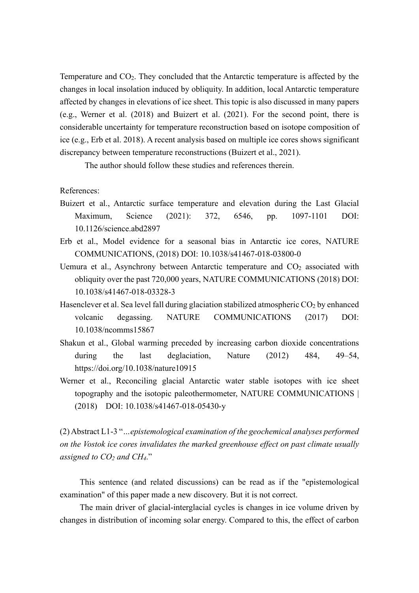Temperature and  $CO<sub>2</sub>$ . They concluded that the Antarctic temperature is affected by the changes in local insolation induced by obliquity. In addition, local Antarctic temperature affected by changes in elevations of ice sheet. This topic is also discussed in many papers (e.g., Werner et al. (2018) and Buizert et al. (2021). For the second point, there is considerable uncertainty for temperature reconstruction based on isotope composition of ice (e.g., Erb et al. 2018). A recent analysis based on multiple ice cores shows significant discrepancy between temperature reconstructions (Buizert et al., 2021).

The author should follow these studies and references therein.

References:

- Buizert et al., Antarctic surface temperature and elevation during the Last Glacial Maximum, Science (2021): 372, 6546, pp. 1097-1101 DOI: 10.1126/science.abd2897
- Erb et al., Model evidence for a seasonal bias in Antarctic ice cores, NATURE COMMUNICATIONS, (2018) DOI: 10.1038/s41467-018-03800-0
- Uemura et al., Asynchrony between Antarctic temperature and  $CO<sub>2</sub>$  associated with obliquity over the past 720,000 years, NATURE COMMUNICATIONS (2018) DOI: 10.1038/s41467-018-03328-3
- Hasenclever et al. Sea level fall during glaciation stabilized atmospheric  $CO<sub>2</sub>$  by enhanced volcanic degassing. NATURE COMMUNICATIONS (2017) DOI: 10.1038/ncomms15867
- Shakun et al., Global warming preceded by increasing carbon dioxide concentrations during the last deglaciation, Nature (2012) 484, 49–54, https://doi.org/10.1038/nature10915
- Werner et al., Reconciling glacial Antarctic water stable isotopes with ice sheet topography and the isotopic paleothermometer, NATURE COMMUNICATIONS | (2018) DOI: 10.1038/s41467-018-05430-y

(2) Abstract L1-3 "*…epistemological examination of the geochemical analyses performed on the Vostok ice cores invalidates the marked greenhouse effect on past climate usually assigned to CO2 and CH4*."

This sentence (and related discussions) can be read as if the "epistemological examination" of this paper made a new discovery. But it is not correct.

The main driver of glacial-interglacial cycles is changes in ice volume driven by changes in distribution of incoming solar energy. Compared to this, the effect of carbon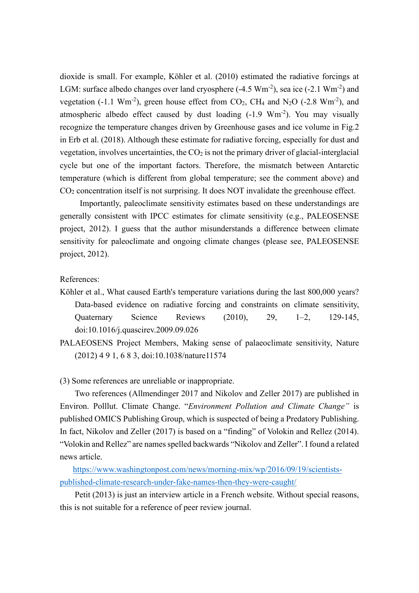dioxide is small. For example, Köhler et al. (2010) estimated the radiative forcings at LGM: surface albedo changes over land cryosphere  $(-4.5 \text{ Wm}^2)$ , sea ice  $(-2.1 \text{ Wm}^2)$  and vegetation (-1.1  $Wm^{-2}$ ), green house effect from CO<sub>2</sub>, CH<sub>4</sub> and N<sub>2</sub>O (-2.8  $Wm^{-2}$ ), and atmospheric albedo effect caused by dust loading (-1.9 Wm<sup>-2</sup>). You may visually recognize the temperature changes driven by Greenhouse gases and ice volume in Fig.2 in Erb et al. (2018). Although these estimate for radiative forcing, especially for dust and vegetation, involves uncertainties, the  $CO<sub>2</sub>$  is not the primary driver of glacial-interglacial cycle but one of the important factors. Therefore, the mismatch between Antarctic temperature (which is different from global temperature; see the comment above) and CO2 concentration itself is not surprising. It does NOT invalidate the greenhouse effect.

Importantly, paleoclimate sensitivity estimates based on these understandings are generally consistent with IPCC estimates for climate sensitivity (e.g., PALEOSENSE project, 2012). I guess that the author misunderstands a difference between climate sensitivity for paleoclimate and ongoing climate changes (please see, PALEOSENSE project, 2012).

#### References:

- Köhler et al., What caused Earth's temperature variations during the last 800,000 years? Data-based evidence on radiative forcing and constraints on climate sensitivity, Quaternary Science Reviews (2010), 29, 1–2, 129-145, doi:10.1016/j.quascirev.2009.09.026
- PALAEOSENS Project Members, Making sense of palaeoclimate sensitivity, Nature (2012) 4 9 1, 6 8 3, doi:10.1038/nature11574

(3) Some references are unreliable or inappropriate.

Two references (Allmendinger 2017 and Nikolov and Zeller 2017) are published in Environ. Polllut. Climate Change. "*Environment Pollution and Climate Change"* is published OMICS Publishing Group, which is suspected of being a Predatory Publishing. In fact, Nikolov and Zeller (2017) is based on a "finding" of Volokin and Rellez (2014). "Volokin and Rellez" are names spelled backwards "Nikolov and Zeller". I found a related news article.

[https://www.washingtonpost.com/news/morning-mix/wp/2016/09/19/scientists](https://www.washingtonpost.com/news/morning-mix/wp/2016/09/19/scientists-published-climate-research-under-fake-names-then-they-were-caught/)[published-climate-research-under-fake-names-then-they-were-caught/](https://www.washingtonpost.com/news/morning-mix/wp/2016/09/19/scientists-published-climate-research-under-fake-names-then-they-were-caught/)

Petit (2013) is just an interview article in a French website. Without special reasons, this is not suitable for a reference of peer review journal.